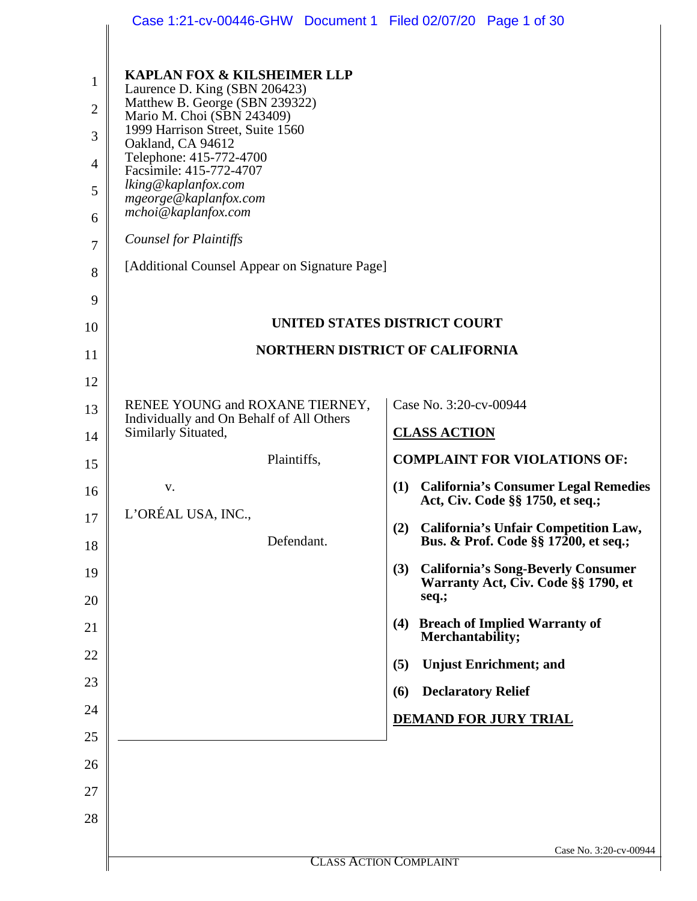|                | Case 1:21-cv-00446-GHW Document 1 Filed 02/07/20 Page 1 of 30               |                                                                                         |
|----------------|-----------------------------------------------------------------------------|-----------------------------------------------------------------------------------------|
|                |                                                                             |                                                                                         |
| $\mathbf{1}$   | <b>KAPLAN FOX &amp; KILSHEIMER LLP</b><br>Laurence D. King (SBN 206423)     |                                                                                         |
| $\overline{2}$ | Matthew B. George (SBN 239322)<br>Mario M. Choi (SBN 243409)                |                                                                                         |
| 3              | 1999 Harrison Street, Suite 1560<br>Oakland, CA 94612                       |                                                                                         |
| $\overline{4}$ | Telephone: 415-772-4700<br>Facsimile: 415-772-4707                          |                                                                                         |
| 5              | lking@kaplanfox.com<br>mgeorge@kaplanfox.com                                |                                                                                         |
| 6              | mchoi@kaplanfox.com                                                         |                                                                                         |
| 7              | <b>Counsel for Plaintiffs</b>                                               |                                                                                         |
| 8              | [Additional Counsel Appear on Signature Page]                               |                                                                                         |
| 9              |                                                                             |                                                                                         |
| 10             | UNITED STATES DISTRICT COURT                                                |                                                                                         |
| 11             |                                                                             | <b>NORTHERN DISTRICT OF CALIFORNIA</b>                                                  |
| 12             |                                                                             |                                                                                         |
| 13             | RENEE YOUNG and ROXANE TIERNEY,<br>Individually and On Behalf of All Others | Case No. 3:20-cv-00944                                                                  |
| 14             | Similarly Situated,                                                         | <b>CLASS ACTION</b>                                                                     |
| 15             | Plaintiffs,                                                                 | <b>COMPLAINT FOR VIOLATIONS OF:</b>                                                     |
| 16             | V.                                                                          | (1) California's Consumer Legal Remedies<br>Act, Civ. Code §§ 1750, et seq.;            |
| 17             | L'ORÉAL USA, INC.                                                           | (2)<br>California's Unfair Competition Law,                                             |
| 18             | Defendant.                                                                  | Bus. & Prof. Code §§ 17200, et seq.;                                                    |
| 19             |                                                                             | <b>California's Song-Beverly Consumer</b><br>(3)<br>Warranty Act, Civ. Code §§ 1790, et |
| 20             |                                                                             | seq.;                                                                                   |
| 21             |                                                                             | <b>Breach of Implied Warranty of</b><br>(4)<br>Merchantability;                         |
| 22             |                                                                             | <b>Unjust Enrichment; and</b><br>(5)                                                    |
| 23             |                                                                             | <b>Declaratory Relief</b><br>(6)                                                        |
| 24             |                                                                             | <b>DEMAND FOR JURY TRIAL</b>                                                            |
| 25             |                                                                             |                                                                                         |
| 26             |                                                                             |                                                                                         |
| 27             |                                                                             |                                                                                         |
| 28             |                                                                             |                                                                                         |
|                |                                                                             | Case No. 3:20-cv-00944                                                                  |
|                |                                                                             | <b>CLASS ACTION COMPLAINT</b>                                                           |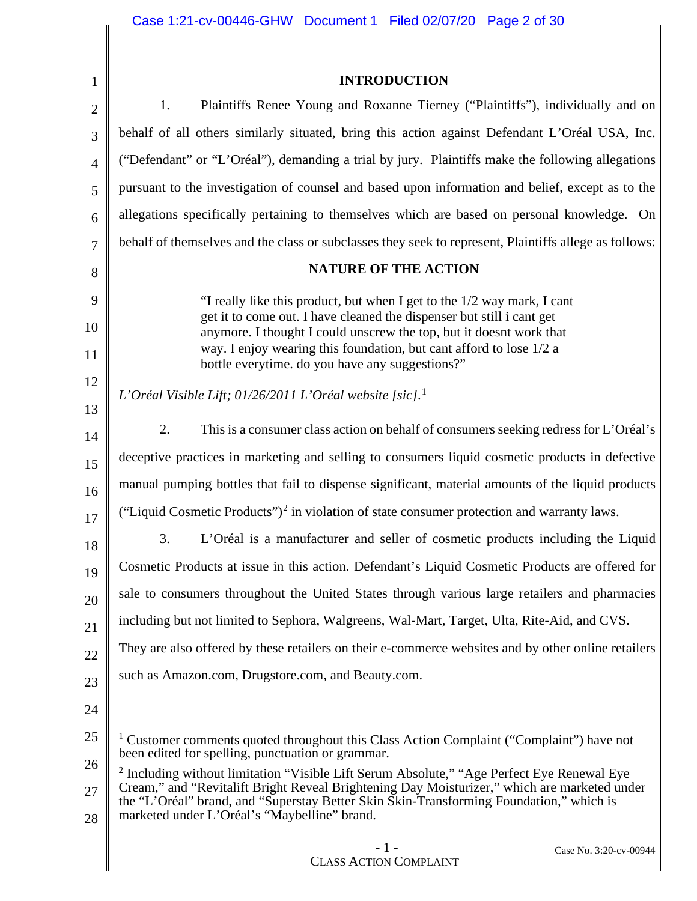<span id="page-1-1"></span><span id="page-1-0"></span>

| $\mathbf{1}$   | <b>INTRODUCTION</b>                                                                                                                                                                                                                                                                                                                              |
|----------------|--------------------------------------------------------------------------------------------------------------------------------------------------------------------------------------------------------------------------------------------------------------------------------------------------------------------------------------------------|
| $\overline{2}$ | Plaintiffs Renee Young and Roxanne Tierney ("Plaintiffs"), individually and on<br>1.                                                                                                                                                                                                                                                             |
| 3              | behalf of all others similarly situated, bring this action against Defendant L'Oréal USA, Inc.                                                                                                                                                                                                                                                   |
| $\overline{4}$ | ("Defendant" or "L'Oréal"), demanding a trial by jury. Plaintiffs make the following allegations                                                                                                                                                                                                                                                 |
| 5              | pursuant to the investigation of counsel and based upon information and belief, except as to the                                                                                                                                                                                                                                                 |
| 6              | allegations specifically pertaining to themselves which are based on personal knowledge. On                                                                                                                                                                                                                                                      |
| $\overline{7}$ | behalf of themselves and the class or subclasses they seek to represent, Plaintiffs allege as follows:                                                                                                                                                                                                                                           |
| 8              | <b>NATURE OF THE ACTION</b>                                                                                                                                                                                                                                                                                                                      |
| 9              | "I really like this product, but when I get to the 1/2 way mark, I cant                                                                                                                                                                                                                                                                          |
| 10             | get it to come out. I have cleaned the dispenser but still i cant get<br>anymore. I thought I could unscrew the top, but it doesnt work that                                                                                                                                                                                                     |
| 11             | way. I enjoy wearing this foundation, but cant afford to lose 1/2 a<br>bottle everytime. do you have any suggestions?"                                                                                                                                                                                                                           |
| 12             | L'Oréal Visible Lift; 01/26/2011 L'Oréal website [sic]. <sup>1</sup>                                                                                                                                                                                                                                                                             |
| 13             |                                                                                                                                                                                                                                                                                                                                                  |
| 14             | 2.<br>This is a consumer class action on behalf of consumers seeking redress for L'Oréal's                                                                                                                                                                                                                                                       |
| 15             | deceptive practices in marketing and selling to consumers liquid cosmetic products in defective                                                                                                                                                                                                                                                  |
| 16             | manual pumping bottles that fail to dispense significant, material amounts of the liquid products                                                                                                                                                                                                                                                |
| 17             | ("Liquid Cosmetic Products") <sup>2</sup> in violation of state consumer protection and warranty laws.                                                                                                                                                                                                                                           |
| 18             | 3.<br>L'Oréal is a manufacturer and seller of cosmetic products including the Liquid                                                                                                                                                                                                                                                             |
| 19             | Cosmetic Products at issue in this action. Defendant's Liquid Cosmetic Products are offered for                                                                                                                                                                                                                                                  |
| 20             | sale to consumers throughout the United States through various large retailers and pharmacies                                                                                                                                                                                                                                                    |
| 21             | including but not limited to Sephora, Walgreens, Wal-Mart, Target, Ulta, Rite-Aid, and CVS.                                                                                                                                                                                                                                                      |
| 22             | They are also offered by these retailers on their e-commerce websites and by other online retailers                                                                                                                                                                                                                                              |
| 23             | such as Amazon.com, Drugstore.com, and Beauty.com.                                                                                                                                                                                                                                                                                               |
| 24             |                                                                                                                                                                                                                                                                                                                                                  |
| 25             | Customer comments quoted throughout this Class Action Complaint ("Complaint") have not<br>been edited for spelling, punctuation or grammar.                                                                                                                                                                                                      |
| 26<br>27<br>28 | <sup>2</sup> Including without limitation "Visible Lift Serum Absolute," "Age Perfect Eye Renewal Eye<br>Cream," and "Revitalift Bright Reveal Brightening Day Moisturizer," which are marketed under<br>the "L'Oréal" brand, and "Superstay Better Skin Skin-Transforming Foundation," which is<br>marketed under L'Oréal's "Maybelline" brand. |
|                | - 1 -<br>Case No. 3:20-cv-00944<br><b>CLASS ACTION COMPLAINT</b>                                                                                                                                                                                                                                                                                 |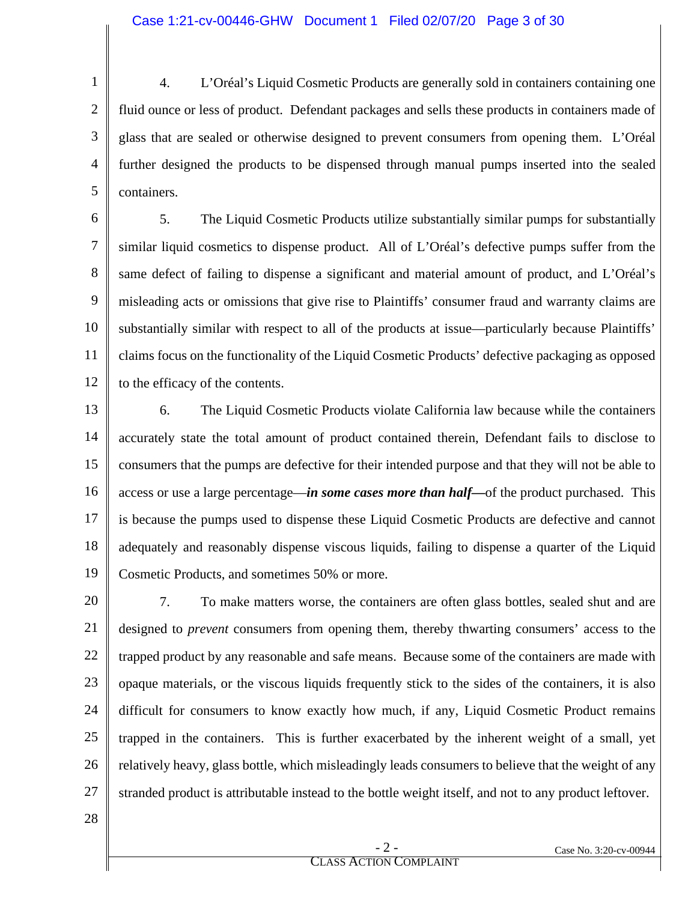1 2 3 4 5 4. L'Oréal's Liquid Cosmetic Products are generally sold in containers containing one fluid ounce or less of product. Defendant packages and sells these products in containers made of glass that are sealed or otherwise designed to prevent consumers from opening them. L'Oréal further designed the products to be dispensed through manual pumps inserted into the sealed containers.

6 7 8 9 10 11 12 5. The Liquid Cosmetic Products utilize substantially similar pumps for substantially similar liquid cosmetics to dispense product. All of L'Oréal's defective pumps suffer from the same defect of failing to dispense a significant and material amount of product, and L'Oréal's misleading acts or omissions that give rise to Plaintiffs' consumer fraud and warranty claims are substantially similar with respect to all of the products at issue—particularly because Plaintiffs' claims focus on the functionality of the Liquid Cosmetic Products' defective packaging as opposed to the efficacy of the contents.

13 14 15 16 17 18 19 6. The Liquid Cosmetic Products violate California law because while the containers accurately state the total amount of product contained therein, Defendant fails to disclose to consumers that the pumps are defective for their intended purpose and that they will not be able to access or use a large percentage—*in some cases more than half—*of the product purchased. This is because the pumps used to dispense these Liquid Cosmetic Products are defective and cannot adequately and reasonably dispense viscous liquids, failing to dispense a quarter of the Liquid Cosmetic Products, and sometimes 50% or more.

20 21 22 23 24 25 26 27 7. To make matters worse, the containers are often glass bottles, sealed shut and are designed to *prevent* consumers from opening them, thereby thwarting consumers' access to the trapped product by any reasonable and safe means. Because some of the containers are made with opaque materials, or the viscous liquids frequently stick to the sides of the containers, it is also difficult for consumers to know exactly how much, if any, Liquid Cosmetic Product remains trapped in the containers. This is further exacerbated by the inherent weight of a small, yet relatively heavy, glass bottle, which misleadingly leads consumers to believe that the weight of any stranded product is attributable instead to the bottle weight itself, and not to any product leftover.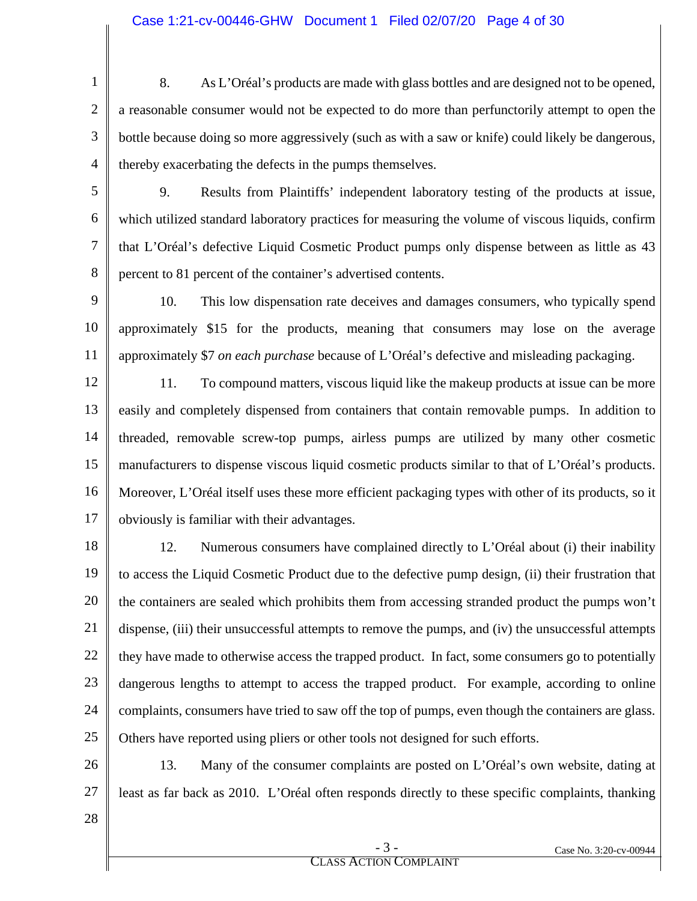1 2 3 4 8. As L'Oréal's products are made with glass bottles and are designed not to be opened, a reasonable consumer would not be expected to do more than perfunctorily attempt to open the bottle because doing so more aggressively (such as with a saw or knife) could likely be dangerous, thereby exacerbating the defects in the pumps themselves.

5

6

7

8

9. Results from Plaintiffs' independent laboratory testing of the products at issue, which utilized standard laboratory practices for measuring the volume of viscous liquids, confirm that L'Oréal's defective Liquid Cosmetic Product pumps only dispense between as little as 43 percent to 81 percent of the container's advertised contents.

9 10 11 10. This low dispensation rate deceives and damages consumers, who typically spend approximately \$15 for the products, meaning that consumers may lose on the average approximately \$7 *on each purchase* because of L'Oréal's defective and misleading packaging.

12 13 14 15 16 17 11. To compound matters, viscous liquid like the makeup products at issue can be more easily and completely dispensed from containers that contain removable pumps. In addition to threaded, removable screw-top pumps, airless pumps are utilized by many other cosmetic manufacturers to dispense viscous liquid cosmetic products similar to that of L'Oréal's products. Moreover, L'Oréal itself uses these more efficient packaging types with other of its products, so it obviously is familiar with their advantages.

18 19 20 21 22 23 24 25 12. Numerous consumers have complained directly to L'Oréal about (i) their inability to access the Liquid Cosmetic Product due to the defective pump design, (ii) their frustration that the containers are sealed which prohibits them from accessing stranded product the pumps won't dispense, (iii) their unsuccessful attempts to remove the pumps, and (iv) the unsuccessful attempts they have made to otherwise access the trapped product. In fact, some consumers go to potentially dangerous lengths to attempt to access the trapped product. For example, according to online complaints, consumers have tried to saw off the top of pumps, even though the containers are glass. Others have reported using pliers or other tools not designed for such efforts.

26 27 13. Many of the consumer complaints are posted on L'Oréal's own website, dating at least as far back as 2010. L'Oréal often responds directly to these specific complaints, thanking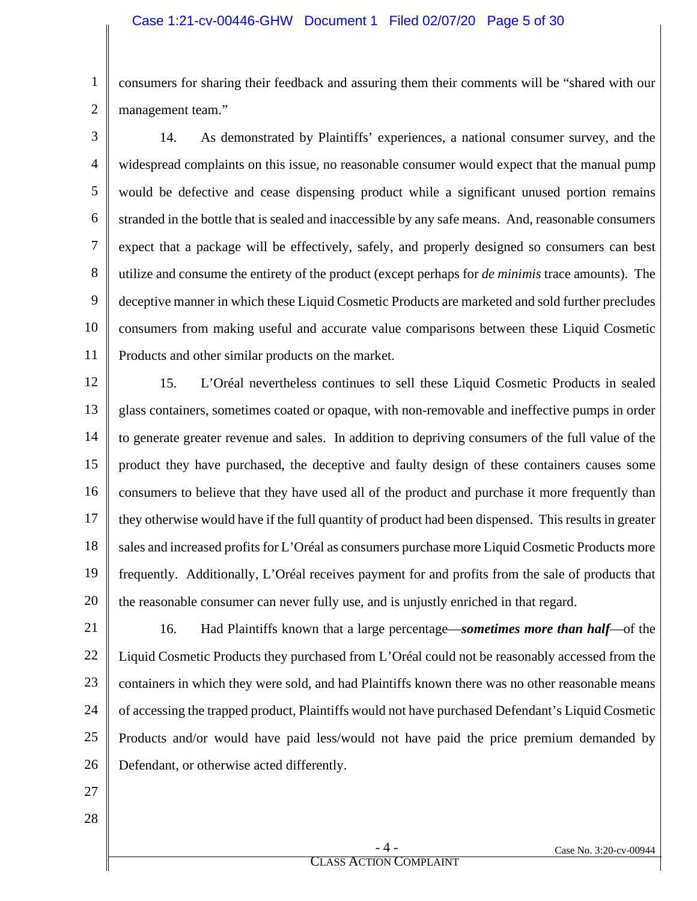1 2 consumers for sharing their feedback and assuring them their comments will be "shared with our management team."

3 4 5 6 7 8 9 10 11 14. As demonstrated by Plaintiffs' experiences, a national consumer survey, and the widespread complaints on this issue, no reasonable consumer would expect that the manual pump would be defective and cease dispensing product while a significant unused portion remains stranded in the bottle that is sealed and inaccessible by any safe means. And, reasonable consumers expect that a package will be effectively, safely, and properly designed so consumers can best utilize and consume the entirety of the product (except perhaps for *de minimis* trace amounts). The deceptive manner in which these Liquid Cosmetic Products are marketed and sold further precludes consumers from making useful and accurate value comparisons between these Liquid Cosmetic Products and other similar products on the market.

12 13 14 15 16 17 18 19 20 15. L'Oréal nevertheless continues to sell these Liquid Cosmetic Products in sealed glass containers, sometimes coated or opaque, with non-removable and ineffective pumps in order to generate greater revenue and sales. In addition to depriving consumers of the full value of the product they have purchased, the deceptive and faulty design of these containers causes some consumers to believe that they have used all of the product and purchase it more frequently than they otherwise would have if the full quantity of product had been dispensed. This results in greater sales and increased profits for L'Oréal as consumers purchase more Liquid Cosmetic Products more frequently. Additionally, L'Oréal receives payment for and profits from the sale of products that the reasonable consumer can never fully use, and is unjustly enriched in that regard.

21 22 23 24 25 26 16. Had Plaintiffs known that a large percentage—*sometimes more than half*—of the Liquid Cosmetic Products they purchased from L'Oréal could not be reasonably accessed from the containers in which they were sold, and had Plaintiffs known there was no other reasonable means of accessing the trapped product, Plaintiffs would not have purchased Defendant's Liquid Cosmetic Products and/or would have paid less/would not have paid the price premium demanded by Defendant, or otherwise acted differently.

- 27
- 28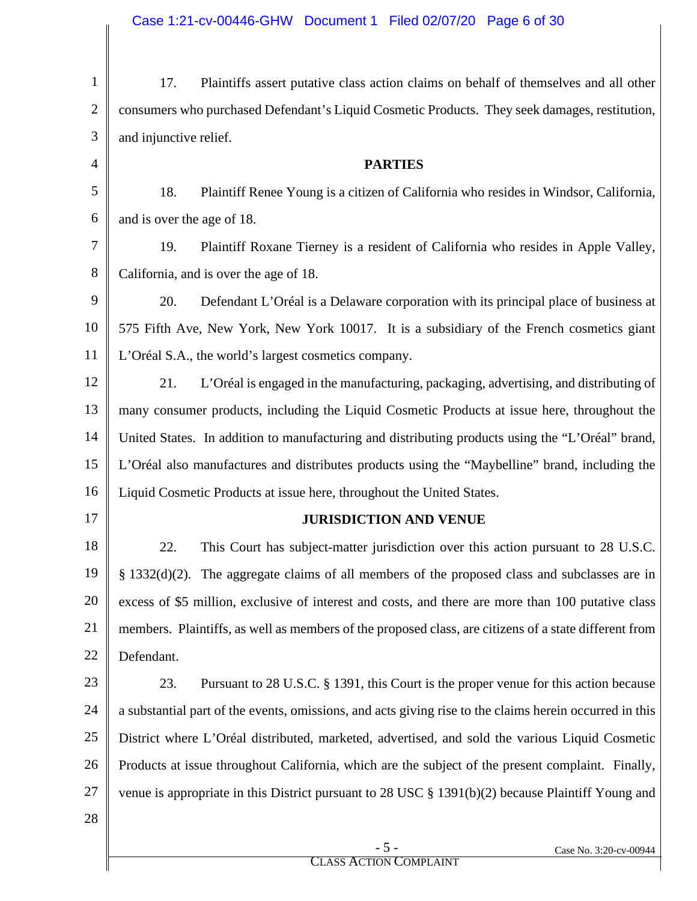| 1              | Plaintiffs assert putative class action claims on behalf of themselves and all other<br>17.             |
|----------------|---------------------------------------------------------------------------------------------------------|
| $\overline{2}$ | consumers who purchased Defendant's Liquid Cosmetic Products. They seek damages, restitution,           |
| 3              | and injunctive relief.                                                                                  |
| $\overline{4}$ | <b>PARTIES</b>                                                                                          |
| 5              | Plaintiff Renee Young is a citizen of California who resides in Windsor, California,<br>18.             |
| 6              | and is over the age of 18.                                                                              |
| 7              | Plaintiff Roxane Tierney is a resident of California who resides in Apple Valley,<br>19.                |
| 8              | California, and is over the age of 18.                                                                  |
| 9              | 20.<br>Defendant L'Oréal is a Delaware corporation with its principal place of business at              |
| 10             | 575 Fifth Ave, New York, New York 10017. It is a subsidiary of the French cosmetics giant               |
| 11             | L'Oréal S.A., the world's largest cosmetics company.                                                    |
| 12             | 21.<br>L'Oréal is engaged in the manufacturing, packaging, advertising, and distributing of             |
| 13             | many consumer products, including the Liquid Cosmetic Products at issue here, throughout the            |
| 14             | United States. In addition to manufacturing and distributing products using the "L'Oréal" brand,        |
| 15             | L'Oréal also manufactures and distributes products using the "Maybelline" brand, including the          |
| 16             | Liquid Cosmetic Products at issue here, throughout the United States.                                   |
| 17             | <b>JURISDICTION AND VENUE</b>                                                                           |
| 18             | 22.<br>This Court has subject-matter jurisdiction over this action pursuant to 28 U.S.C.                |
| 19             | § 1332(d)(2). The aggregate claims of all members of the proposed class and subclasses are in           |
| 20             | excess of \$5 million, exclusive of interest and costs, and there are more than 100 putative class      |
| 21             | members. Plaintiffs, as well as members of the proposed class, are citizens of a state different from   |
| 22             | Defendant.                                                                                              |
| 23             | Pursuant to 28 U.S.C. § 1391, this Court is the proper venue for this action because<br>23.             |
| 24             | a substantial part of the events, omissions, and acts giving rise to the claims herein occurred in this |
| 25             | District where L'Oréal distributed, marketed, advertised, and sold the various Liquid Cosmetic          |
| 26             | Products at issue throughout California, which are the subject of the present complaint. Finally,       |
| 27             | venue is appropriate in this District pursuant to 28 USC $\S$ 1391(b)(2) because Plaintiff Young and    |
| 28             |                                                                                                         |
|                | $-5-$<br>Case No. 3:20-cv-00944                                                                         |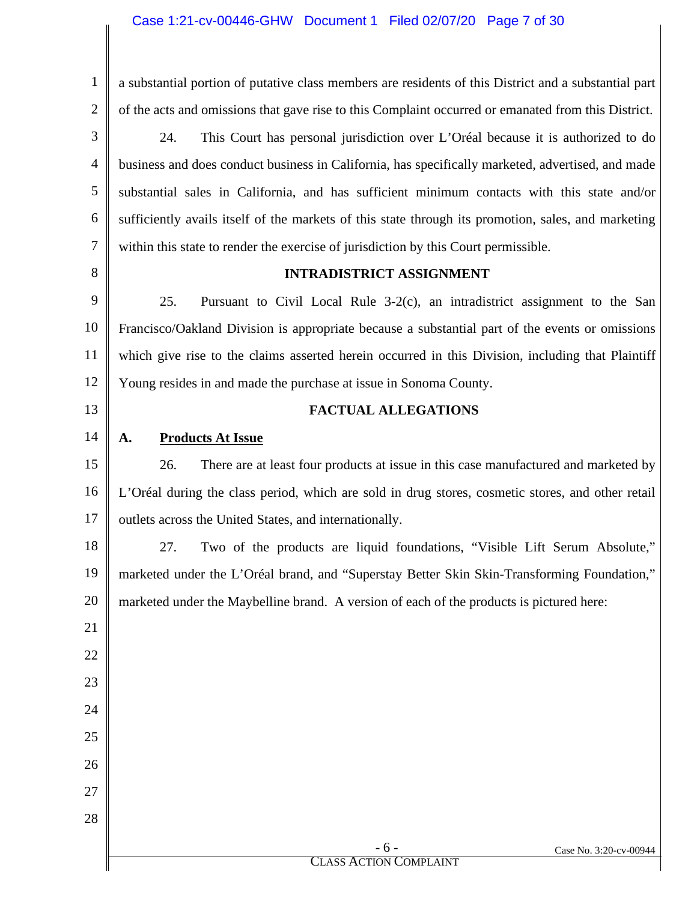## Case 1:21-cv-00446-GHW Document 1 Filed 02/07/20 Page 7 of 30

| 1              | a substantial portion of putative class members are residents of this District and a substantial part |
|----------------|-------------------------------------------------------------------------------------------------------|
| $\overline{2}$ | of the acts and omissions that gave rise to this Complaint occurred or emanated from this District.   |
| 3              | 24.<br>This Court has personal jurisdiction over L'Oréal because it is authorized to do               |
| $\overline{4}$ | business and does conduct business in California, has specifically marketed, advertised, and made     |
| 5              | substantial sales in California, and has sufficient minimum contacts with this state and/or           |
| 6              | sufficiently avails itself of the markets of this state through its promotion, sales, and marketing   |
| 7              | within this state to render the exercise of jurisdiction by this Court permissible.                   |
| 8              | <b>INTRADISTRICT ASSIGNMENT</b>                                                                       |
| 9              | 25.<br>Pursuant to Civil Local Rule 3-2(c), an intradistrict assignment to the San                    |
| 10             | Francisco/Oakland Division is appropriate because a substantial part of the events or omissions       |
| 11             | which give rise to the claims asserted herein occurred in this Division, including that Plaintiff     |
| 12             | Young resides in and made the purchase at issue in Sonoma County.                                     |
| 13             | <b>FACTUAL ALLEGATIONS</b>                                                                            |
| 14             | <b>Products At Issue</b><br>A.                                                                        |
| 15             | 26.<br>There are at least four products at issue in this case manufactured and marketed by            |
| 16             | L'Oréal during the class period, which are sold in drug stores, cosmetic stores, and other retail     |
| 17             | outlets across the United States, and internationally.                                                |
| 18             | 27.<br>Two of the products are liquid foundations, "Visible Lift Serum Absolute,"                     |
| 19             | marketed under the L'Oréal brand, and "Superstay Better Skin Skin-Transforming Foundation,"           |
| 20             | marketed under the Maybelline brand. A version of each of the products is pictured here:              |
| 21             |                                                                                                       |
| 22             |                                                                                                       |
| 23             |                                                                                                       |
| 24             |                                                                                                       |
| 25             |                                                                                                       |
| 26             |                                                                                                       |
| 27             |                                                                                                       |
| 28             |                                                                                                       |
|                | $-6-$<br>Case No. 3:20-cv-00944<br><b>CLASS ACTION COMPLAINT</b>                                      |
|                |                                                                                                       |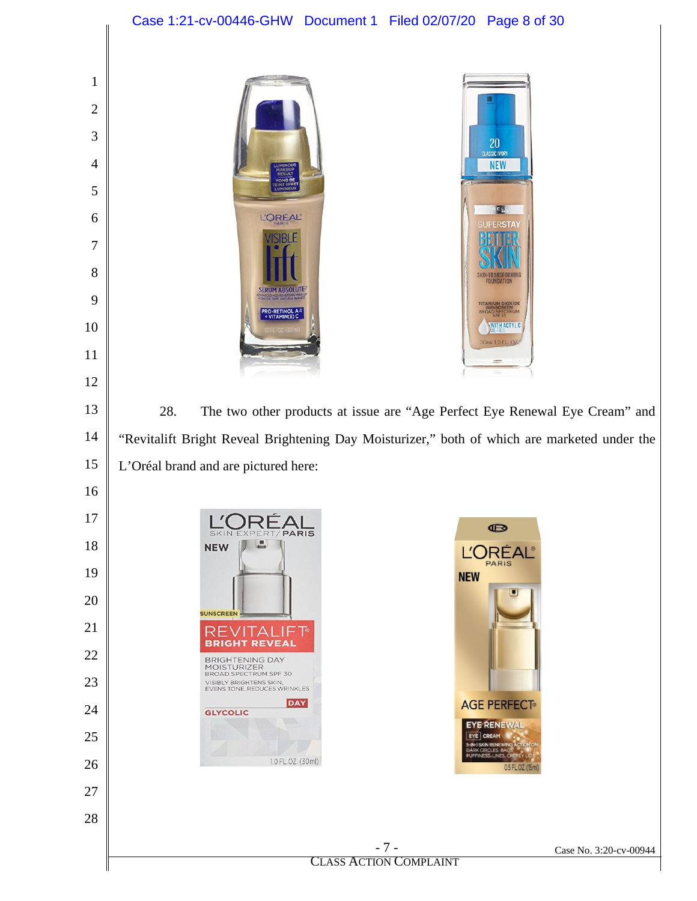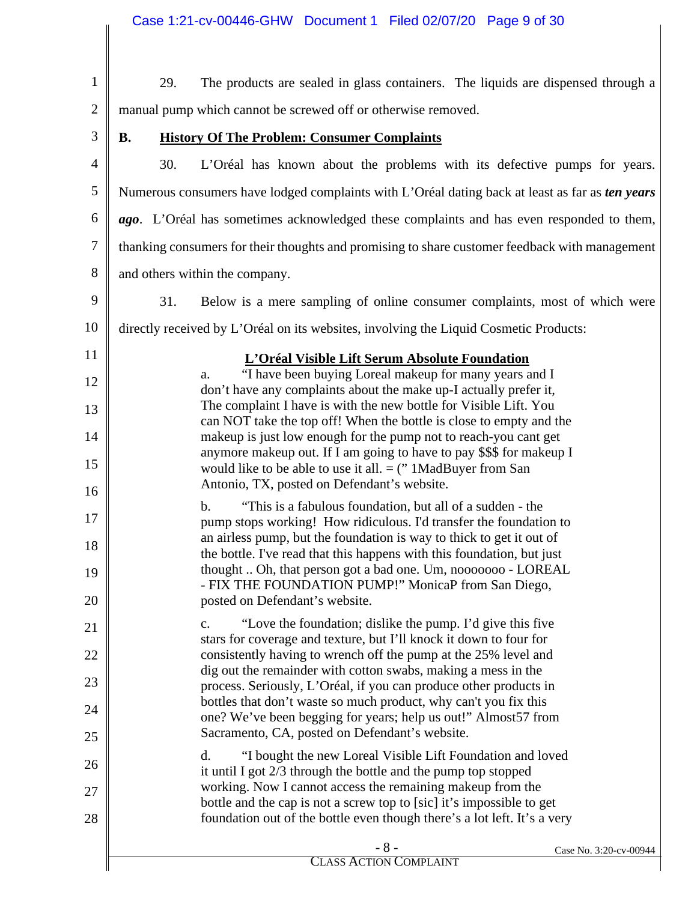|                | Case 1:21-cv-00446-GHW Document 1 Filed 02/07/20 Page 9 of 30                                                                                     |
|----------------|---------------------------------------------------------------------------------------------------------------------------------------------------|
|                |                                                                                                                                                   |
| $\mathbf{1}$   | 29.<br>The products are sealed in glass containers. The liquids are dispensed through a                                                           |
| $\overline{2}$ | manual pump which cannot be screwed off or otherwise removed.                                                                                     |
| 3              | <b>History Of The Problem: Consumer Complaints</b><br><b>B.</b>                                                                                   |
| $\overline{4}$ | 30.<br>L'Oréal has known about the problems with its defective pumps for years.                                                                   |
| 5              | Numerous consumers have lodged complaints with L'Oréal dating back at least as far as <i>ten years</i>                                            |
| 6              | ago. L'Oréal has sometimes acknowledged these complaints and has even responded to them,                                                          |
| 7              | thanking consumers for their thoughts and promising to share customer feedback with management                                                    |
| 8              | and others within the company.                                                                                                                    |
| 9              | 31.<br>Below is a mere sampling of online consumer complaints, most of which were                                                                 |
| 10             | directly received by L'Oréal on its websites, involving the Liquid Cosmetic Products:                                                             |
| 11             | L'Oréal Visible Lift Serum Absolute Foundation                                                                                                    |
| 12             | "I have been buying Loreal makeup for many years and I<br>a.<br>don't have any complaints about the make up-I actually prefer it,                 |
| 13             | The complaint I have is with the new bottle for Visible Lift. You                                                                                 |
| 14             | can NOT take the top off! When the bottle is close to empty and the<br>makeup is just low enough for the pump not to reach-you cant get           |
| 15             | anymore makeup out. If I am going to have to pay \$\$\$ for makeup I<br>would like to be able to use it all. $=$ (" 1MadBuyer from San            |
| 16             | Antonio, TX, posted on Defendant's website.                                                                                                       |
| 17             | "This is a fabulous foundation, but all of a sudden - the<br>$\mathbf b$ .<br>pump stops working! How ridiculous. I'd transfer the foundation to  |
| 18             | an airless pump, but the foundation is way to thick to get it out of                                                                              |
| 19             | the bottle. I've read that this happens with this foundation, but just<br>thought  Oh, that person got a bad one. Um, nooooooo - LOREAL           |
| 20             | - FIX THE FOUNDATION PUMP!" MonicaP from San Diego,<br>posted on Defendant's website.                                                             |
| 21             | "Love the foundation; dislike the pump. I'd give this five<br>c.                                                                                  |
| 22             | stars for coverage and texture, but I'll knock it down to four for<br>consistently having to wrench off the pump at the 25% level and             |
| 23             | dig out the remainder with cotton swabs, making a mess in the<br>process. Seriously, L'Oréal, if you can produce other products in                |
| 24             | bottles that don't waste so much product, why can't you fix this                                                                                  |
| 25             | one? We've been begging for years; help us out!" Almost 57 from<br>Sacramento, CA, posted on Defendant's website.                                 |
| 26             | "I bought the new Loreal Visible Lift Foundation and loved<br>d.                                                                                  |
| 27             | it until I got $2/3$ through the bottle and the pump top stopped<br>working. Now I cannot access the remaining makeup from the                    |
| 28             | bottle and the cap is not a screw top to [sic] it's impossible to get<br>foundation out of the bottle even though there's a lot left. It's a very |
|                | $-8-$<br>Case No. 3:20-cv-00944<br><b>CLASS ACTION COMPLAINT</b>                                                                                  |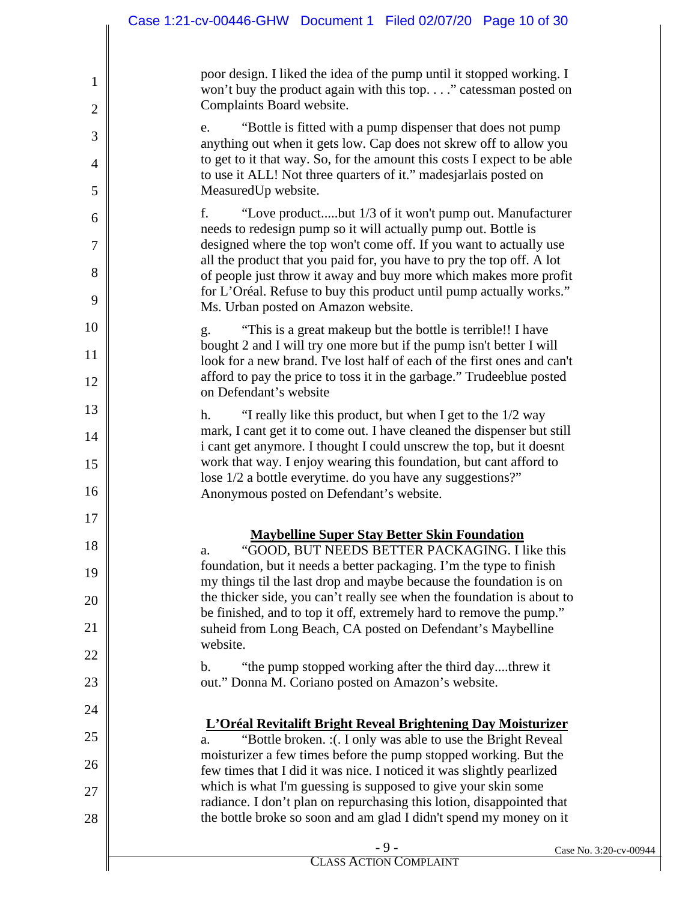|                | Case 1:21-cv-00446-GHW Document 1 Filed 02/07/20 Page 10 of 30                                                                                                      |
|----------------|---------------------------------------------------------------------------------------------------------------------------------------------------------------------|
| 1              | poor design. I liked the idea of the pump until it stopped working. I<br>won't buy the product again with this top" catessman posted on                             |
| $\overline{2}$ | Complaints Board website.                                                                                                                                           |
| 3              | "Bottle is fitted with a pump dispenser that does not pump<br>e.<br>anything out when it gets low. Cap does not skrew off to allow you                              |
| 4<br>5         | to get to it that way. So, for the amount this costs I expect to be able<br>to use it ALL! Not three quarters of it." madesjarlais posted on<br>MeasuredUp website. |
|                | f.<br>"Love productbut 1/3 of it won't pump out. Manufacturer                                                                                                       |
| 6<br>7         | needs to redesign pump so it will actually pump out. Bottle is<br>designed where the top won't come off. If you want to actually use                                |
| 8              | all the product that you paid for, you have to pry the top off. A lot<br>of people just throw it away and buy more which makes more profit                          |
| 9              | for L'Oréal. Refuse to buy this product until pump actually works."<br>Ms. Urban posted on Amazon website.                                                          |
| 10             | "This is a great makeup but the bottle is terrible!! I have<br>g.                                                                                                   |
| 11             | bought 2 and I will try one more but if the pump isn't better I will<br>look for a new brand. I've lost half of each of the first ones and can't                    |
| 12             | afford to pay the price to toss it in the garbage." Trudeeblue posted<br>on Defendant's website                                                                     |
| 13             | "I really like this product, but when I get to the 1/2 way<br>h.                                                                                                    |
| 14             | mark, I cant get it to come out. I have cleaned the dispenser but still<br>i cant get anymore. I thought I could unscrew the top, but it doesnt                     |
| 15<br>16       | work that way. I enjoy wearing this foundation, but cant afford to<br>lose 1/2 a bottle everytime. do you have any suggestions?"                                    |
|                | Anonymous posted on Defendant's website.                                                                                                                            |
| $17\,$         | <b>Maybelline Super Stay Better Skin Foundation</b>                                                                                                                 |
| 18             | "GOOD, BUT NEEDS BETTER PACKAGING. I like this<br>a.                                                                                                                |
| 19             | foundation, but it needs a better packaging. I'm the type to finish<br>my things til the last drop and maybe because the foundation is on                           |
| 20             | the thicker side, you can't really see when the foundation is about to<br>be finished, and to top it off, extremely hard to remove the pump."                       |
| 21             | suheid from Long Beach, CA posted on Defendant's Maybelline<br>website.                                                                                             |
| 22             | "the pump stopped working after the third daythrew it<br>b.                                                                                                         |
| 23             | out." Donna M. Coriano posted on Amazon's website.                                                                                                                  |
| 24             | L'Oréal Revitalift Bright Reveal Brightening Day Moisturizer                                                                                                        |
| 25             | "Bottle broken. : (. I only was able to use the Bright Reveal<br>a.                                                                                                 |
| 26             | moisturizer a few times before the pump stopped working. But the<br>few times that I did it was nice. I noticed it was slightly pearlized                           |
| 27             | which is what I'm guessing is supposed to give your skin some<br>radiance. I don't plan on repurchasing this lotion, disappointed that                              |
| 28             | the bottle broke so soon and am glad I didn't spend my money on it                                                                                                  |
|                | $-9-$<br>Case No. 3:20-cv-00944<br><b>CLASS ACTION COMPLAINT</b>                                                                                                    |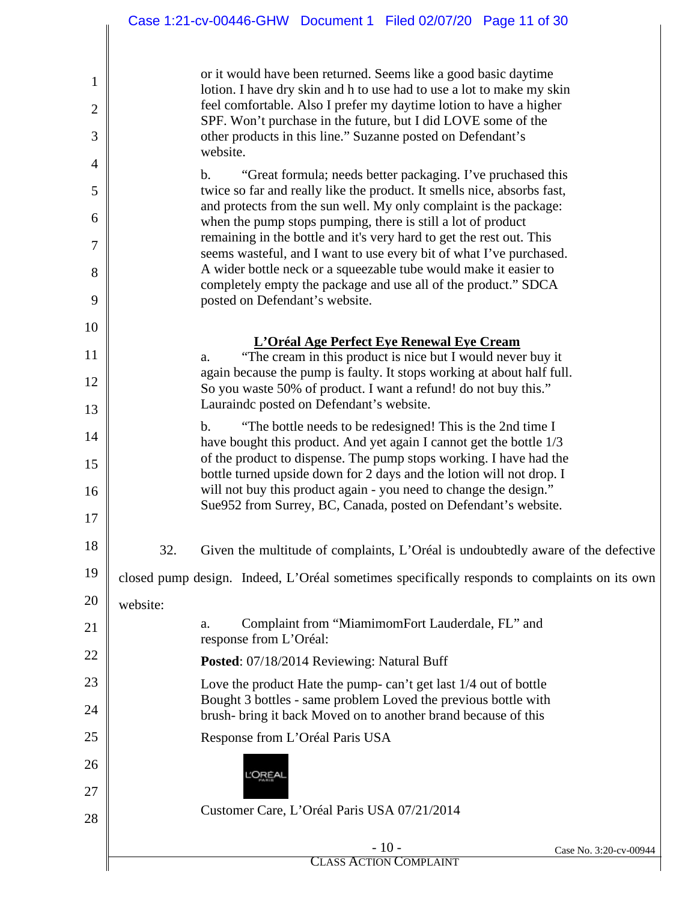|                | Case 1:21-cv-00446-GHW Document 1 Filed 02/07/20 Page 11 of 30                                                                                          |
|----------------|---------------------------------------------------------------------------------------------------------------------------------------------------------|
|                |                                                                                                                                                         |
| $\mathbf{1}$   | or it would have been returned. Seems like a good basic daytime<br>lotion. I have dry skin and h to use had to use a lot to make my skin                |
| $\overline{2}$ | feel comfortable. Also I prefer my daytime lotion to have a higher                                                                                      |
| 3              | SPF. Won't purchase in the future, but I did LOVE some of the<br>other products in this line." Suzanne posted on Defendant's                            |
| 4              | website.                                                                                                                                                |
| 5              | $\mathbf b$ .<br>"Great formula; needs better packaging. I've pruchased this<br>twice so far and really like the product. It smells nice, absorbs fast, |
| 6              | and protects from the sun well. My only complaint is the package:<br>when the pump stops pumping, there is still a lot of product                       |
| 7              | remaining in the bottle and it's very hard to get the rest out. This<br>seems wasteful, and I want to use every bit of what I've purchased.             |
| 8              | A wider bottle neck or a squeezable tube would make it easier to                                                                                        |
| 9              | completely empty the package and use all of the product." SDCA<br>posted on Defendant's website.                                                        |
| 10             |                                                                                                                                                         |
| 11             | L'Oréal Age Perfect Eye Renewal Eye Cream<br>"The cream in this product is nice but I would never buy it<br>a.                                          |
| 12             | again because the pump is faulty. It stops working at about half full.<br>So you waste 50% of product. I want a refund! do not buy this."               |
| 13             | Laurainde posted on Defendant's website.                                                                                                                |
| 14             | "The bottle needs to be redesigned! This is the 2nd time I<br>$\mathbf{b}$ .<br>have bought this product. And yet again I cannot get the bottle 1/3     |
| 15             | of the product to dispense. The pump stops working. I have had the                                                                                      |
| 16             | bottle turned upside down for 2 days and the lotion will not drop. I<br>will not buy this product again - you need to change the design."               |
| 17             | Sue952 from Surrey, BC, Canada, posted on Defendant's website.                                                                                          |
| 18             | 32.<br>Given the multitude of complaints, L'Oréal is undoubtedly aware of the defective                                                                 |
| 19             | closed pump design. Indeed, L'Oréal sometimes specifically responds to complaints on its own                                                            |
| 20             | website:                                                                                                                                                |
| 21             | Complaint from "MiamimomFort Lauderdale, FL" and<br>a.<br>response from L'Oréal:                                                                        |
| 22             | Posted: 07/18/2014 Reviewing: Natural Buff                                                                                                              |
| 23             | Love the product Hate the pump-can't get last 1/4 out of bottle                                                                                         |
| 24             | Bought 3 bottles - same problem Loved the previous bottle with<br>brush- bring it back Moved on to another brand because of this                        |
| 25             | Response from L'Oréal Paris USA                                                                                                                         |
| 26             | <u>'</u> OREA                                                                                                                                           |
| 27             |                                                                                                                                                         |
| 28             | Customer Care, L'Oréal Paris USA 07/21/2014                                                                                                             |
|                | $-10-$<br>Case No. 3:20-cv-00944<br><b>CLASS ACTION COMPLAINT</b>                                                                                       |
|                |                                                                                                                                                         |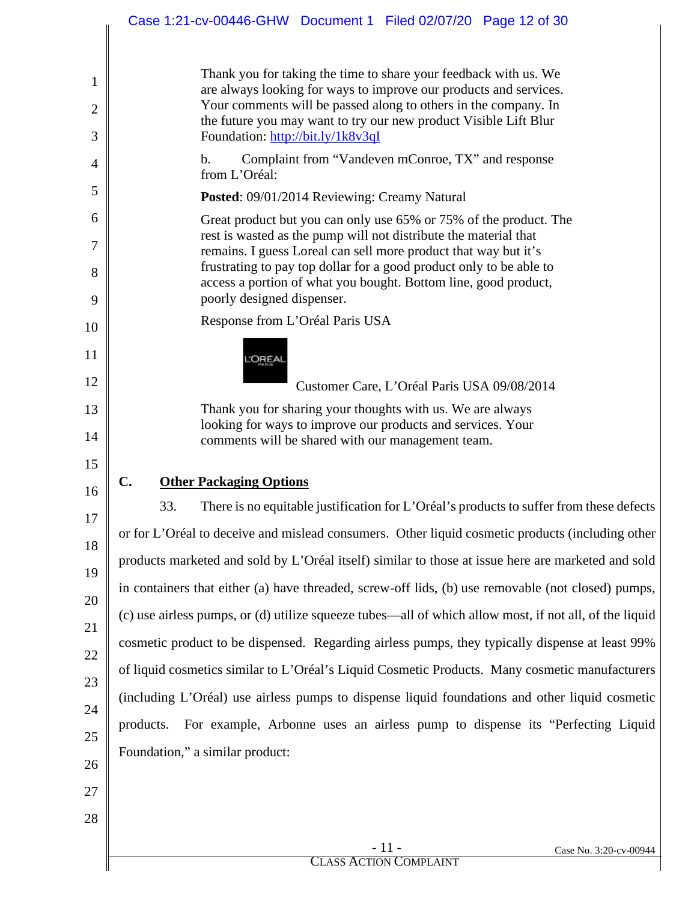| $-11-$<br>Case No. 3:20-cv-00944                                                                                                       |
|----------------------------------------------------------------------------------------------------------------------------------------|
|                                                                                                                                        |
|                                                                                                                                        |
|                                                                                                                                        |
| Foundation," a similar product:                                                                                                        |
| products. For example, Arbonne uses an airless pump to dispense its "Perfecting Liquid                                                 |
| (including L'Oréal) use airless pumps to dispense liquid foundations and other liquid cosmetic                                         |
| of liquid cosmetics similar to L'Oréal's Liquid Cosmetic Products. Many cosmetic manufacturers                                         |
| cosmetic product to be dispensed. Regarding airless pumps, they typically dispense at least 99%                                        |
| (c) use airless pumps, or (d) utilize squeeze tubes—all of which allow most, if not all, of the liquid                                 |
| in containers that either (a) have threaded, screw-off lids, (b) use removable (not closed) pumps,                                     |
| products marketed and sold by L'Oréal itself) similar to those at issue here are marketed and sold                                     |
| or for L'Oréal to deceive and mislead consumers. Other liquid cosmetic products (including other                                       |
| There is no equitable justification for L'Oréal's products to suffer from these defects<br>33.                                         |
| C.<br><b>Other Packaging Options</b>                                                                                                   |
| comments will be shared with our management team.                                                                                      |
| Thank you for sharing your thoughts with us. We are always<br>looking for ways to improve our products and services. Your              |
| Customer Care, L'Oréal Paris USA 09/08/2014                                                                                            |
| L'OREAI                                                                                                                                |
|                                                                                                                                        |
| Response from L'Oréal Paris USA                                                                                                        |
| access a portion of what you bought. Bottom line, good product,<br>poorly designed dispenser.                                          |
| remains. I guess Loreal can sell more product that way but it's<br>frustrating to pay top dollar for a good product only to be able to |
| rest is wasted as the pump will not distribute the material that                                                                       |
| Posted: 09/01/2014 Reviewing: Creamy Natural<br>Great product but you can only use 65% or 75% of the product. The                      |
| from L'Oréal:                                                                                                                          |
| Complaint from "Vandeven mConroe, TX" and response<br>b.                                                                               |
| the future you may want to try our new product Visible Lift Blur<br>Foundation: http://bit.ly/1k8v3qI                                  |
| are always looking for ways to improve our products and services.<br>Your comments will be passed along to others in the company. In   |
| Thank you for taking the time to share your feedback with us. We                                                                       |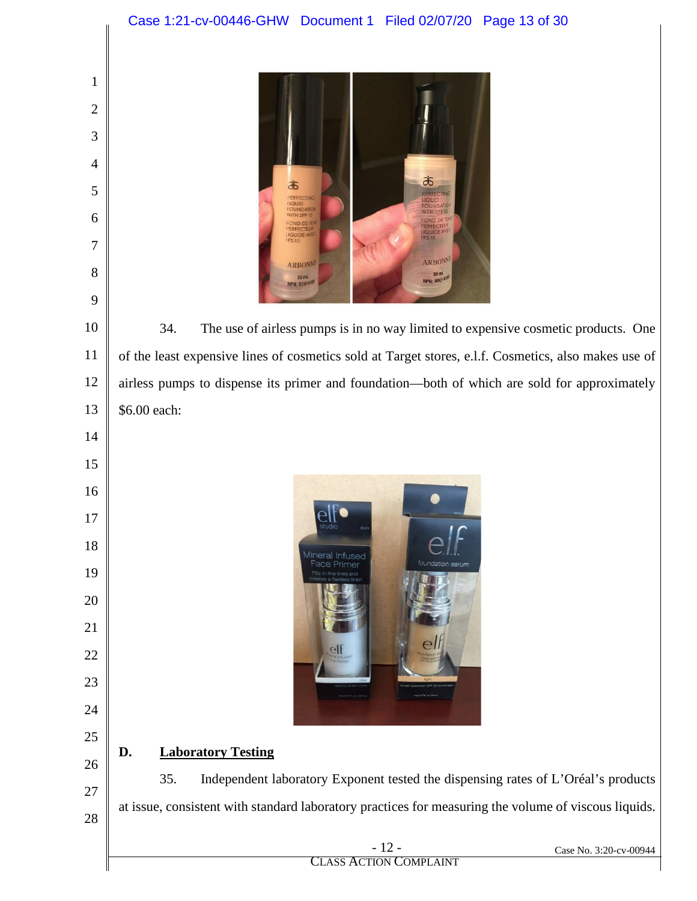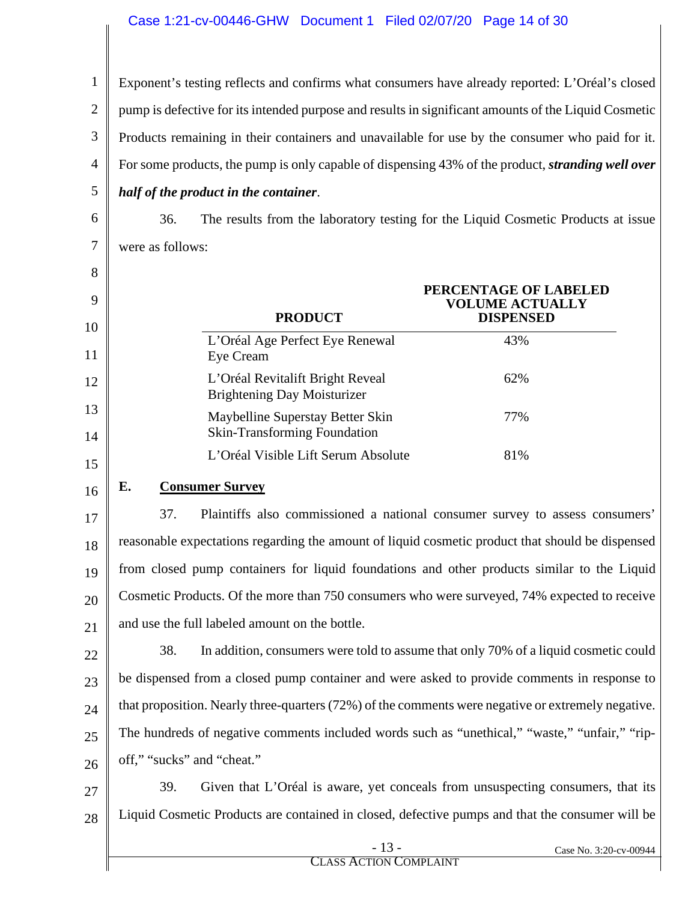#### Case 1:21-cv-00446-GHW Document 1 Filed 02/07/20 Page 14 of 30

1 2 3 4 5 Exponent's testing reflects and confirms what consumers have already reported: L'Oréal's closed pump is defective for its intended purpose and results in significant amounts of the Liquid Cosmetic Products remaining in their containers and unavailable for use by the consumer who paid for it. For some products, the pump is only capable of dispensing 43% of the product, *stranding well over half of the product in the container*.

6 7

36. The results from the laboratory testing for the Liquid Cosmetic Products at issue were as follows:

| 8<br>9<br>10 | <b>PRODUCT</b>                                                         | PERCENTAGE OF LABELED<br><b>VOLUME ACTUALLY</b><br><b>DISPENSED</b> |
|--------------|------------------------------------------------------------------------|---------------------------------------------------------------------|
| 11           | L'Oréal Age Perfect Eye Renewal<br>Eye Cream                           | 43%                                                                 |
| 12           | L'Oréal Revitalift Bright Reveal<br><b>Brightening Day Moisturizer</b> | 62%                                                                 |
| 13<br>14     | Maybelline Superstay Better Skin<br>Skin-Transforming Foundation       | 77%                                                                 |
| 15           | L'Oréal Visible Lift Serum Absolute                                    | 81%                                                                 |

16

#### **E. Consumer Survey**

17 18 19 20 21 37. Plaintiffs also commissioned a national consumer survey to assess consumers' reasonable expectations regarding the amount of liquid cosmetic product that should be dispensed from closed pump containers for liquid foundations and other products similar to the Liquid Cosmetic Products. Of the more than 750 consumers who were surveyed, 74% expected to receive and use the full labeled amount on the bottle.

22 23 24 25 26 38. In addition, consumers were told to assume that only 70% of a liquid cosmetic could be dispensed from a closed pump container and were asked to provide comments in response to that proposition. Nearly three-quarters (72%) of the comments were negative or extremely negative. The hundreds of negative comments included words such as "unethical," "waste," "unfair," "ripoff," "sucks" and "cheat."

27 28 39. Given that L'Oréal is aware, yet conceals from unsuspecting consumers, that its Liquid Cosmetic Products are contained in closed, defective pumps and that the consumer will be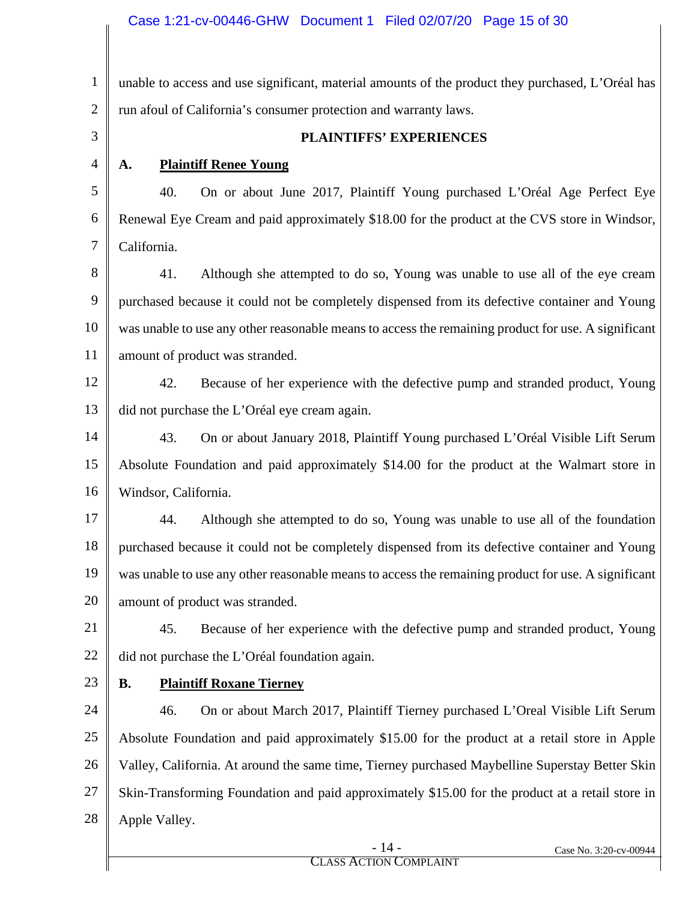1 2 3 4 5 6 7 8 9 10 11 12 13 14 15 16 17 18 19 20 21 22 23 24 25 26 27 28 unable to access and use significant, material amounts of the product they purchased, L'Oréal has run afoul of California's consumer protection and warranty laws.  **PLAINTIFFS' EXPERIENCES A. Plaintiff Renee Young** 40. On or about June 2017, Plaintiff Young purchased L'Oréal Age Perfect Eye Renewal Eye Cream and paid approximately \$18.00 for the product at the CVS store in Windsor, California. 41. Although she attempted to do so, Young was unable to use all of the eye cream purchased because it could not be completely dispensed from its defective container and Young was unable to use any other reasonable means to access the remaining product for use. A significant amount of product was stranded. 42. Because of her experience with the defective pump and stranded product, Young did not purchase the L'Oréal eye cream again. 43. On or about January 2018, Plaintiff Young purchased L'Oréal Visible Lift Serum Absolute Foundation and paid approximately \$14.00 for the product at the Walmart store in Windsor, California. 44. Although she attempted to do so, Young was unable to use all of the foundation purchased because it could not be completely dispensed from its defective container and Young was unable to use any other reasonable means to access the remaining product for use. A significant amount of product was stranded. 45. Because of her experience with the defective pump and stranded product, Young did not purchase the L'Oréal foundation again. **B. Plaintiff Roxane Tierney** 46. On or about March 2017, Plaintiff Tierney purchased L'Oreal Visible Lift Serum Absolute Foundation and paid approximately \$15.00 for the product at a retail store in Apple Valley, California. At around the same time, Tierney purchased Maybelline Superstay Better Skin Skin-Transforming Foundation and paid approximately \$15.00 for the product at a retail store in Apple Valley.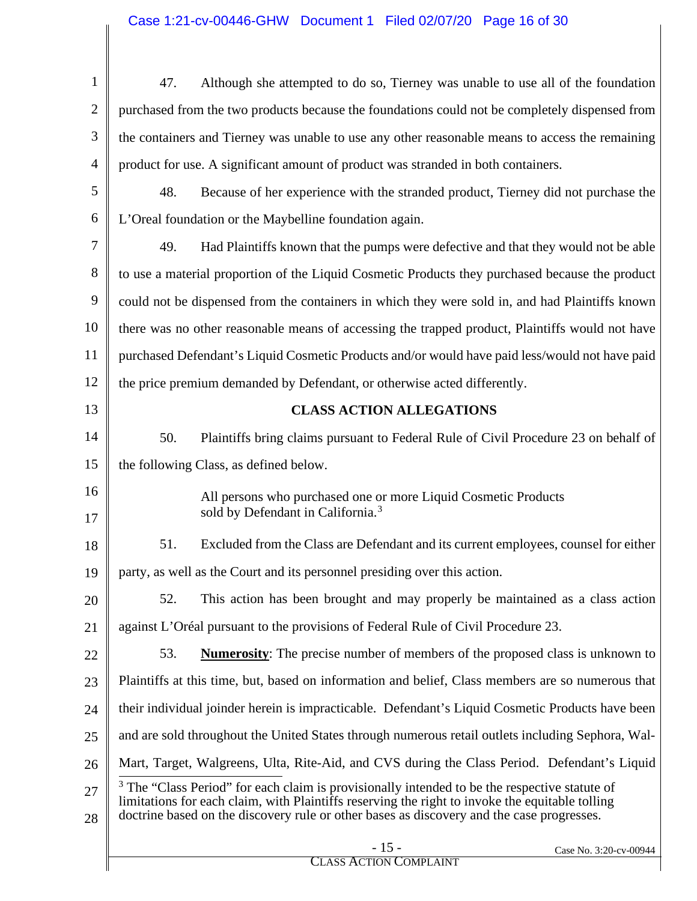<span id="page-15-0"></span>

| 1              | Although she attempted to do so, Tierney was unable to use all of the foundation<br>47.                                                                                                                                                                                                                  |
|----------------|----------------------------------------------------------------------------------------------------------------------------------------------------------------------------------------------------------------------------------------------------------------------------------------------------------|
| $\overline{2}$ | purchased from the two products because the foundations could not be completely dispensed from                                                                                                                                                                                                           |
| 3              | the containers and Tierney was unable to use any other reasonable means to access the remaining                                                                                                                                                                                                          |
| $\overline{4}$ | product for use. A significant amount of product was stranded in both containers.                                                                                                                                                                                                                        |
| 5              | 48.<br>Because of her experience with the stranded product, Tierney did not purchase the                                                                                                                                                                                                                 |
| 6              | L'Oreal foundation or the Maybelline foundation again.                                                                                                                                                                                                                                                   |
| 7              | 49.<br>Had Plaintiffs known that the pumps were defective and that they would not be able                                                                                                                                                                                                                |
| 8              | to use a material proportion of the Liquid Cosmetic Products they purchased because the product                                                                                                                                                                                                          |
| 9              | could not be dispensed from the containers in which they were sold in, and had Plaintiffs known                                                                                                                                                                                                          |
| 10             | there was no other reasonable means of accessing the trapped product, Plaintiffs would not have                                                                                                                                                                                                          |
| 11             | purchased Defendant's Liquid Cosmetic Products and/or would have paid less/would not have paid                                                                                                                                                                                                           |
| 12             | the price premium demanded by Defendant, or otherwise acted differently.                                                                                                                                                                                                                                 |
| 13             | <b>CLASS ACTION ALLEGATIONS</b>                                                                                                                                                                                                                                                                          |
| 14             | 50.<br>Plaintiffs bring claims pursuant to Federal Rule of Civil Procedure 23 on behalf of                                                                                                                                                                                                               |
| 15             | the following Class, as defined below.                                                                                                                                                                                                                                                                   |
| 16             | All persons who purchased one or more Liquid Cosmetic Products                                                                                                                                                                                                                                           |
| 17             | sold by Defendant in California. <sup>3</sup>                                                                                                                                                                                                                                                            |
| 18             | Excluded from the Class are Defendant and its current employees, counsel for either<br>51.                                                                                                                                                                                                               |
| 19             | party, as well as the Court and its personnel presiding over this action.                                                                                                                                                                                                                                |
| 20             | This action has been brought and may properly be maintained as a class action<br>52.                                                                                                                                                                                                                     |
| 21             | against L'Oréal pursuant to the provisions of Federal Rule of Civil Procedure 23.                                                                                                                                                                                                                        |
| 22             | 53.<br><b>Numerosity:</b> The precise number of members of the proposed class is unknown to                                                                                                                                                                                                              |
| 23             | Plaintiffs at this time, but, based on information and belief, Class members are so numerous that                                                                                                                                                                                                        |
| 24             | their individual joinder herein is impracticable. Defendant's Liquid Cosmetic Products have been                                                                                                                                                                                                         |
| 25             | and are sold throughout the United States through numerous retail outlets including Sephora, Wal-                                                                                                                                                                                                        |
| 26             | Mart, Target, Walgreens, Ulta, Rite-Aid, and CVS during the Class Period. Defendant's Liquid                                                                                                                                                                                                             |
| 27<br>28       | <sup>3</sup> The "Class Period" for each claim is provisionally intended to be the respective statute of<br>limitations for each claim, with Plaintiffs reserving the right to invoke the equitable tolling<br>doctrine based on the discovery rule or other bases as discovery and the case progresses. |
|                | $-15-$<br>Case No. 3:20-cv-00944<br><b>CLASS ACTION COMPLAINT</b>                                                                                                                                                                                                                                        |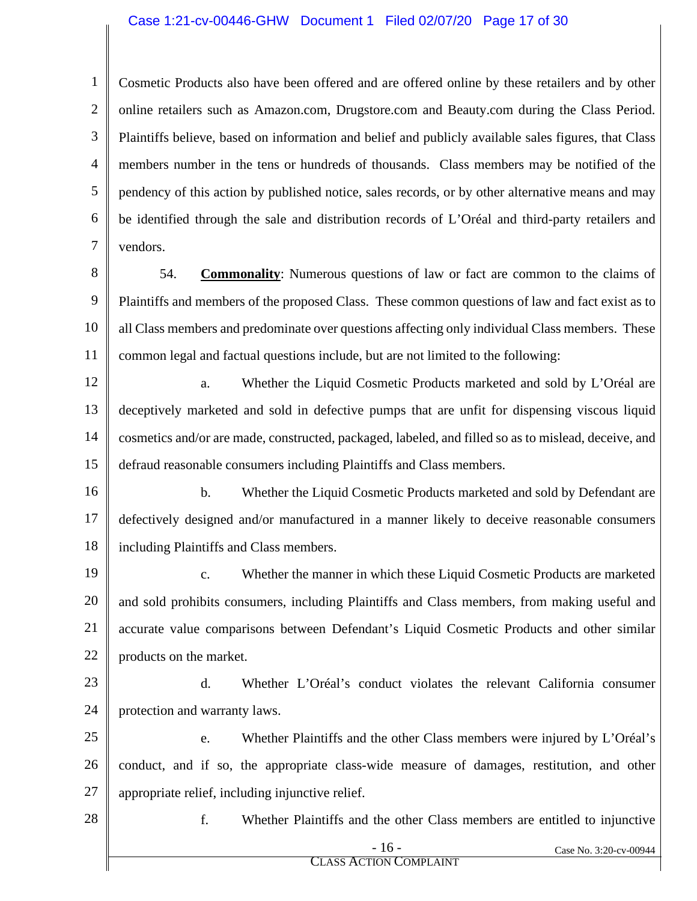#### Case 1:21-cv-00446-GHW Document 1 Filed 02/07/20 Page 17 of 30

1 2 3 4 5 6 7 Cosmetic Products also have been offered and are offered online by these retailers and by other online retailers such as Amazon.com, Drugstore.com and Beauty.com during the Class Period. Plaintiffs believe, based on information and belief and publicly available sales figures, that Class members number in the tens or hundreds of thousands. Class members may be notified of the pendency of this action by published notice, sales records, or by other alternative means and may be identified through the sale and distribution records of L'Oréal and third-party retailers and vendors.

- 8 9 10 11 54. **Commonality**: Numerous questions of law or fact are common to the claims of Plaintiffs and members of the proposed Class. These common questions of law and fact exist as to all Class members and predominate over questions affecting only individual Class members. These common legal and factual questions include, but are not limited to the following:
- 12 13 14 15 a. Whether the Liquid Cosmetic Products marketed and sold by L'Oréal are deceptively marketed and sold in defective pumps that are unfit for dispensing viscous liquid cosmetics and/or are made, constructed, packaged, labeled, and filled so as to mislead, deceive, and defraud reasonable consumers including Plaintiffs and Class members.
- 16 17 18 b. Whether the Liquid Cosmetic Products marketed and sold by Defendant are defectively designed and/or manufactured in a manner likely to deceive reasonable consumers including Plaintiffs and Class members.
- 19 20 21 22 c. Whether the manner in which these Liquid Cosmetic Products are marketed and sold prohibits consumers, including Plaintiffs and Class members, from making useful and accurate value comparisons between Defendant's Liquid Cosmetic Products and other similar products on the market.
- 23 24 d. Whether L'Oréal's conduct violates the relevant California consumer protection and warranty laws.
- 25 26 27 e. Whether Plaintiffs and the other Class members were injured by L'Oréal's conduct, and if so, the appropriate class-wide measure of damages, restitution, and other appropriate relief, including injunctive relief.
- 28

f. Whether Plaintiffs and the other Class members are entitled to injunctive

- 16 - Case No. 3:20-cv-00944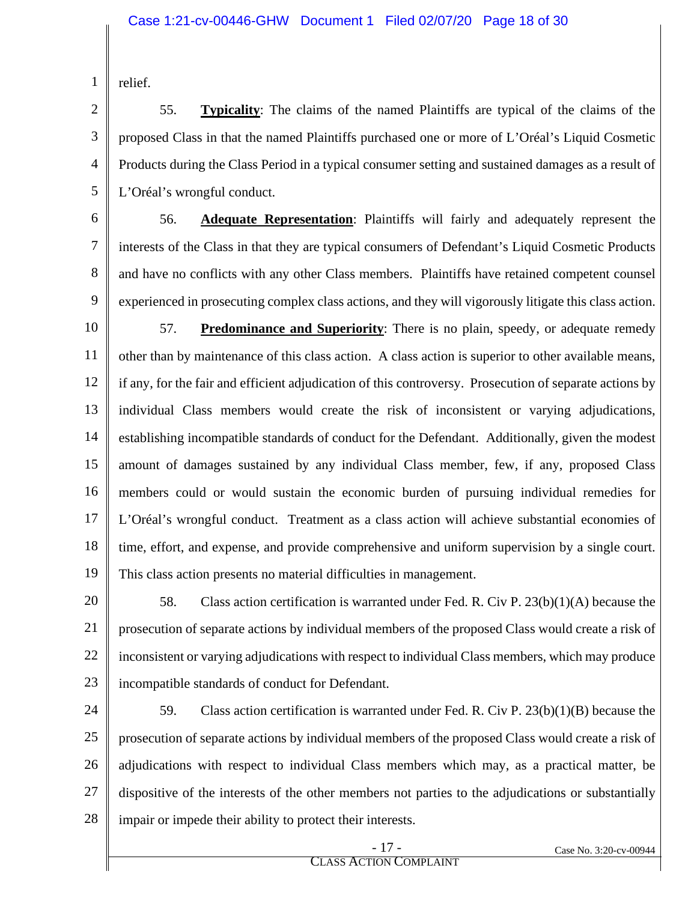relief.

1

2 3 4 5 55. **Typicality**: The claims of the named Plaintiffs are typical of the claims of the proposed Class in that the named Plaintiffs purchased one or more of L'Oréal's Liquid Cosmetic Products during the Class Period in a typical consumer setting and sustained damages as a result of L'Oréal's wrongful conduct.

6

7

8

9

56. **Adequate Representation**: Plaintiffs will fairly and adequately represent the interests of the Class in that they are typical consumers of Defendant's Liquid Cosmetic Products and have no conflicts with any other Class members. Plaintiffs have retained competent counsel experienced in prosecuting complex class actions, and they will vigorously litigate this class action.

10 11 12 13 14 15 16 17 18 19 57. **Predominance and Superiority**: There is no plain, speedy, or adequate remedy other than by maintenance of this class action. A class action is superior to other available means, if any, for the fair and efficient adjudication of this controversy. Prosecution of separate actions by individual Class members would create the risk of inconsistent or varying adjudications, establishing incompatible standards of conduct for the Defendant. Additionally, given the modest amount of damages sustained by any individual Class member, few, if any, proposed Class members could or would sustain the economic burden of pursuing individual remedies for L'Oréal's wrongful conduct. Treatment as a class action will achieve substantial economies of time, effort, and expense, and provide comprehensive and uniform supervision by a single court. This class action presents no material difficulties in management.

20 21 22 23 58. Class action certification is warranted under Fed. R. Civ P. 23(b)(1)(A) because the prosecution of separate actions by individual members of the proposed Class would create a risk of inconsistent or varying adjudications with respect to individual Class members, which may produce incompatible standards of conduct for Defendant.

24 25 26 27 28 59. Class action certification is warranted under Fed. R. Civ P. 23(b)(1)(B) because the prosecution of separate actions by individual members of the proposed Class would create a risk of adjudications with respect to individual Class members which may, as a practical matter, be dispositive of the interests of the other members not parties to the adjudications or substantially impair or impede their ability to protect their interests.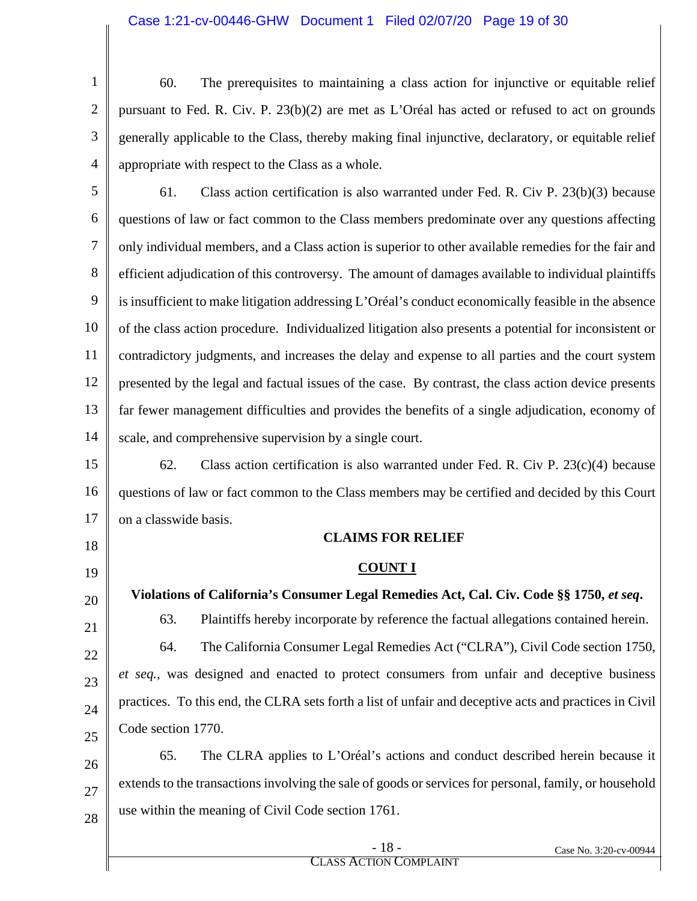1 2 3 4 60. The prerequisites to maintaining a class action for injunctive or equitable relief pursuant to Fed. R. Civ. P. 23(b)(2) are met as L'Oréal has acted or refused to act on grounds generally applicable to the Class, thereby making final injunctive, declaratory, or equitable relief appropriate with respect to the Class as a whole.

5 6 7 8 9 10 11 12 13 14 61. Class action certification is also warranted under Fed. R. Civ P. 23(b)(3) because questions of law or fact common to the Class members predominate over any questions affecting only individual members, and a Class action is superior to other available remedies for the fair and efficient adjudication of this controversy. The amount of damages available to individual plaintiffs is insufficient to make litigation addressing L'Oréal's conduct economically feasible in the absence of the class action procedure. Individualized litigation also presents a potential for inconsistent or contradictory judgments, and increases the delay and expense to all parties and the court system presented by the legal and factual issues of the case. By contrast, the class action device presents far fewer management difficulties and provides the benefits of a single adjudication, economy of scale, and comprehensive supervision by a single court.

15 16 17 62. Class action certification is also warranted under Fed. R. Civ P.  $23(c)(4)$  because questions of law or fact common to the Class members may be certified and decided by this Court on a classwide basis.

18

19

20

21

22

23

24

25

Code section 1770.

### **CLAIMS FOR RELIEF**

#### **COUNT I**

**Violations of California's Consumer Legal Remedies Act, Cal. Civ. Code §§ 1750,** *et seq***.** 63. Plaintiffs hereby incorporate by reference the factual allegations contained herein. 64. The California Consumer Legal Remedies Act ("CLRA"), Civil Code section 1750, *et seq.*, was designed and enacted to protect consumers from unfair and deceptive business practices. To this end, the CLRA sets forth a list of unfair and deceptive acts and practices in Civil

26 27 28 65. The CLRA applies to L'Oréal's actions and conduct described herein because it extends to the transactions involving the sale of goods or services for personal, family, or household use within the meaning of Civil Code section 1761.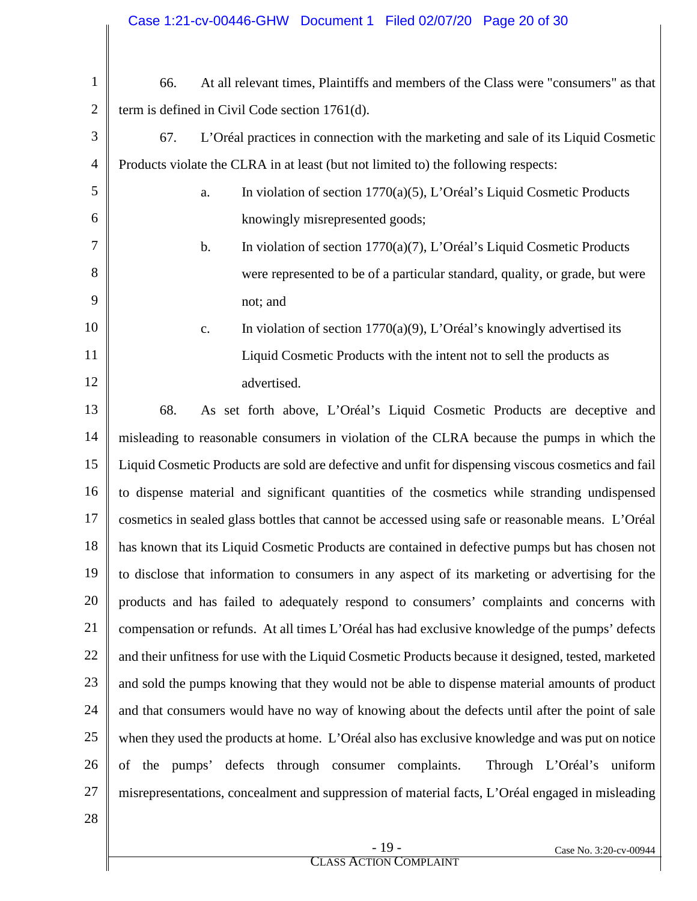| 1              | At all relevant times, Plaintiffs and members of the Class were "consumers" as that<br>66.          |
|----------------|-----------------------------------------------------------------------------------------------------|
| $\overline{2}$ | term is defined in Civil Code section 1761(d).                                                      |
| 3              | 67.<br>L'Oréal practices in connection with the marketing and sale of its Liquid Cosmetic           |
| 4              | Products violate the CLRA in at least (but not limited to) the following respects:                  |
| 5              | In violation of section 1770(a)(5), L'Oréal's Liquid Cosmetic Products<br>a.                        |
| 6              | knowingly misrepresented goods;                                                                     |
| 7              | In violation of section 1770(a)(7), L'Oréal's Liquid Cosmetic Products<br>$\mathbf b$ .             |
| 8              | were represented to be of a particular standard, quality, or grade, but were                        |
| 9              | not; and                                                                                            |
| 10             | In violation of section $1770(a)(9)$ , L'Oréal's knowingly advertised its<br>c.                     |
| 11             | Liquid Cosmetic Products with the intent not to sell the products as                                |
| 12             | advertised.                                                                                         |
| 13             | 68.<br>As set forth above, L'Oréal's Liquid Cosmetic Products are deceptive and                     |
| 14             | misleading to reasonable consumers in violation of the CLRA because the pumps in which the          |
| 15             | Liquid Cosmetic Products are sold are defective and unfit for dispensing viscous cosmetics and fail |
| 16             | to dispense material and significant quantities of the cosmetics while stranding undispensed        |
| 17             | cosmetics in sealed glass bottles that cannot be accessed using safe or reasonable means. L'Oréal   |
| 18             | has known that its Liquid Cosmetic Products are contained in defective pumps but has chosen not     |
| 19             | to disclose that information to consumers in any aspect of its marketing or advertising for the     |
| 20             | products and has failed to adequately respond to consumers' complaints and concerns with            |
| 21             | compensation or refunds. At all times L'Oréal has had exclusive knowledge of the pumps' defects     |
| 22             | and their unfitness for use with the Liquid Cosmetic Products because it designed, tested, marketed |
| 23             | and sold the pumps knowing that they would not be able to dispense material amounts of product      |
| 24             | and that consumers would have no way of knowing about the defects until after the point of sale     |
| 25             | when they used the products at home. L'Oréal also has exclusive knowledge and was put on notice     |
| 26             | of the pumps' defects through consumer complaints.<br>Through L'Oréal's uniform                     |
| 27             | misrepresentations, concealment and suppression of material facts, L'Oréal engaged in misleading    |
| 28             |                                                                                                     |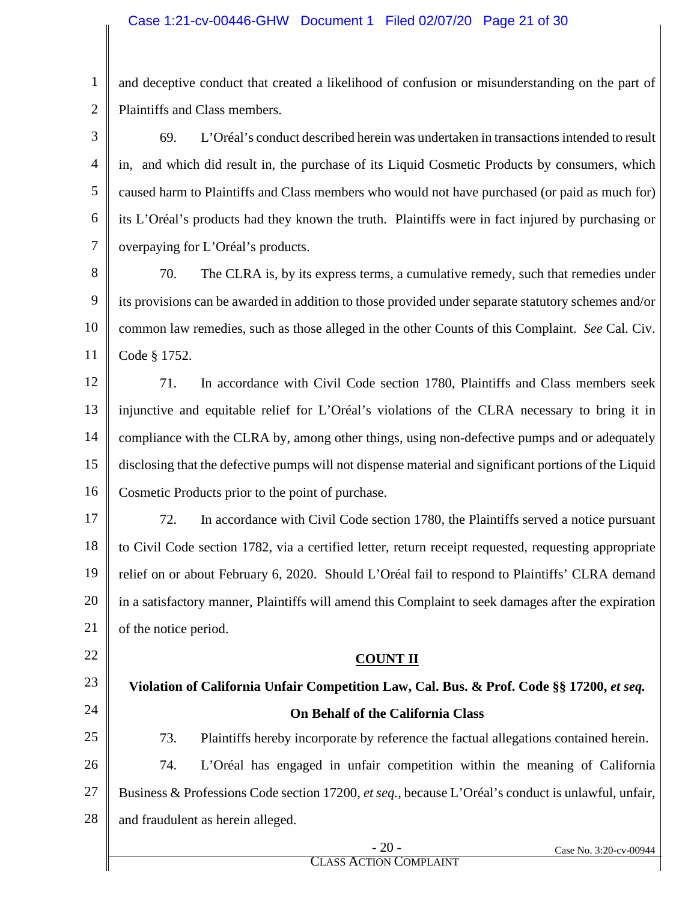1 2 and deceptive conduct that created a likelihood of confusion or misunderstanding on the part of Plaintiffs and Class members.

3 4 5 6 7 69. L'Oréal's conduct described herein was undertaken in transactions intended to result in, and which did result in, the purchase of its Liquid Cosmetic Products by consumers, which caused harm to Plaintiffs and Class members who would not have purchased (or paid as much for) its L'Oréal's products had they known the truth. Plaintiffs were in fact injured by purchasing or overpaying for L'Oréal's products.

8 9 10 11 70. The CLRA is, by its express terms, a cumulative remedy, such that remedies under its provisions can be awarded in addition to those provided under separate statutory schemes and/or common law remedies, such as those alleged in the other Counts of this Complaint. *See* Cal. Civ. Code § 1752.

12 13 14 15 16 71. In accordance with Civil Code section 1780, Plaintiffs and Class members seek injunctive and equitable relief for L'Oréal's violations of the CLRA necessary to bring it in compliance with the CLRA by, among other things, using non-defective pumps and or adequately disclosing that the defective pumps will not dispense material and significant portions of the Liquid Cosmetic Products prior to the point of purchase.

17 18 19 20 21 72. In accordance with Civil Code section 1780, the Plaintiffs served a notice pursuant to Civil Code section 1782, via a certified letter, return receipt requested, requesting appropriate relief on or about February 6, 2020. Should L'Oréal fail to respond to Plaintiffs' CLRA demand in a satisfactory manner, Plaintiffs will amend this Complaint to seek damages after the expiration of the notice period.

## **COUNT II**

23 24 25 26 27 Violation of California Unfair Competition Law, Cal. Bus. & Prof. Code §§ 17200, *et seq.* **On Behalf of the California Class** 73. Plaintiffs hereby incorporate by reference the factual allegations contained herein. 74. L'Oréal has engaged in unfair competition within the meaning of California Business & Professions Code section 17200, *et seq.*, because L'Oréal's conduct is unlawful, unfair,

28 and fraudulent as herein alleged.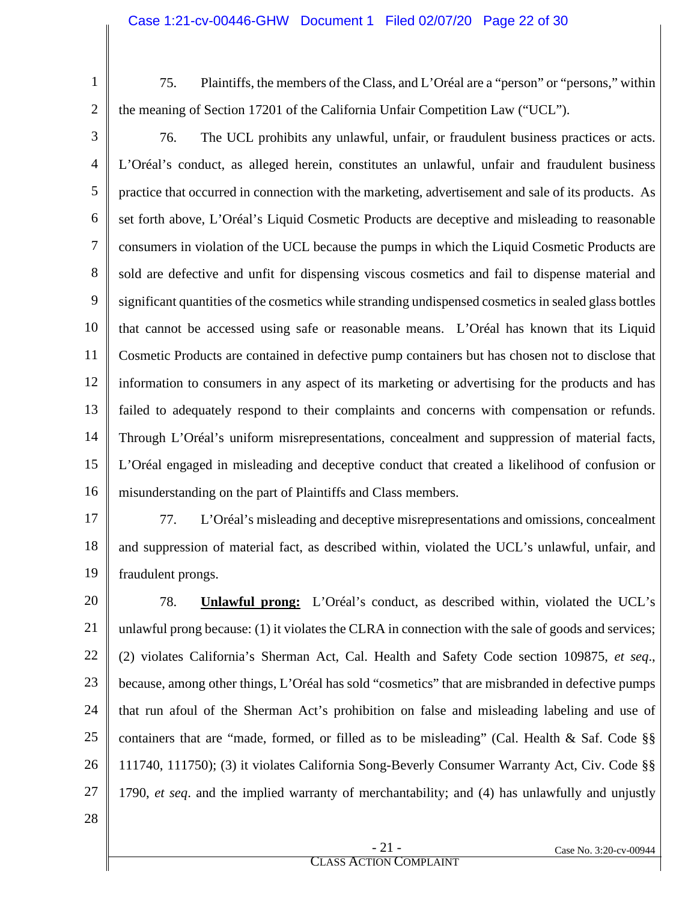75. Plaintiffs, the members of the Class, and L'Oréal are a "person" or "persons," within the meaning of Section 17201 of the California Unfair Competition Law ("UCL").

3 4 5 6 7 8 9 10 11 12 13 14 15 16 76. The UCL prohibits any unlawful, unfair, or fraudulent business practices or acts. L'Oréal's conduct, as alleged herein, constitutes an unlawful, unfair and fraudulent business practice that occurred in connection with the marketing, advertisement and sale of its products. As set forth above, L'Oréal's Liquid Cosmetic Products are deceptive and misleading to reasonable consumers in violation of the UCL because the pumps in which the Liquid Cosmetic Products are sold are defective and unfit for dispensing viscous cosmetics and fail to dispense material and significant quantities of the cosmetics while stranding undispensed cosmetics in sealed glass bottles that cannot be accessed using safe or reasonable means. L'Oréal has known that its Liquid Cosmetic Products are contained in defective pump containers but has chosen not to disclose that information to consumers in any aspect of its marketing or advertising for the products and has failed to adequately respond to their complaints and concerns with compensation or refunds. Through L'Oréal's uniform misrepresentations, concealment and suppression of material facts, L'Oréal engaged in misleading and deceptive conduct that created a likelihood of confusion or misunderstanding on the part of Plaintiffs and Class members.

- 17 18 19 77. L'Oréal's misleading and deceptive misrepresentations and omissions, concealment and suppression of material fact, as described within, violated the UCL's unlawful, unfair, and fraudulent prongs.
- 20 21 22 23 24 25 26 27 78. **Unlawful prong:** L'Oréal's conduct, as described within, violated the UCL's unlawful prong because: (1) it violates the CLRA in connection with the sale of goods and services; (2) violates California's Sherman Act, Cal. Health and Safety Code section 109875, *et seq*., because, among other things, L'Oréal has sold "cosmetics" that are misbranded in defective pumps that run afoul of the Sherman Act's prohibition on false and misleading labeling and use of containers that are "made, formed, or filled as to be misleading" (Cal. Health & Saf. Code §§ 111740, 111750); (3) it violates California Song-Beverly Consumer Warranty Act, Civ. Code §§ 1790, *et seq*. and the implied warranty of merchantability; and (4) has unlawfully and unjustly
- 28

1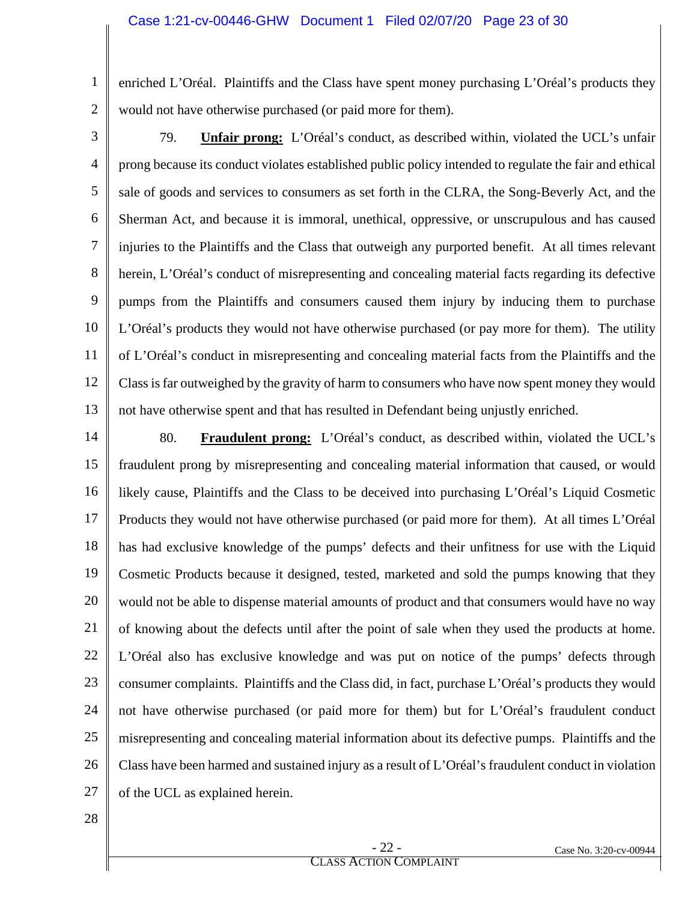1 2 enriched L'Oréal. Plaintiffs and the Class have spent money purchasing L'Oréal's products they would not have otherwise purchased (or paid more for them).

3

4 5 6 7 8 9 10 11 12 13 79. **Unfair prong:** L'Oréal's conduct, as described within, violated the UCL's unfair prong because its conduct violates established public policy intended to regulate the fair and ethical sale of goods and services to consumers as set forth in the CLRA, the Song-Beverly Act, and the Sherman Act, and because it is immoral, unethical, oppressive, or unscrupulous and has caused injuries to the Plaintiffs and the Class that outweigh any purported benefit. At all times relevant herein, L'Oréal's conduct of misrepresenting and concealing material facts regarding its defective pumps from the Plaintiffs and consumers caused them injury by inducing them to purchase L'Oréal's products they would not have otherwise purchased (or pay more for them). The utility of L'Oréal's conduct in misrepresenting and concealing material facts from the Plaintiffs and the Class is far outweighed by the gravity of harm to consumers who have now spent money they would not have otherwise spent and that has resulted in Defendant being unjustly enriched.

14 15 16 17 18 19 20 21 22 23 24 25 26 27 80. **Fraudulent prong:** L'Oréal's conduct, as described within, violated the UCL's fraudulent prong by misrepresenting and concealing material information that caused, or would likely cause, Plaintiffs and the Class to be deceived into purchasing L'Oréal's Liquid Cosmetic Products they would not have otherwise purchased (or paid more for them). At all times L'Oréal has had exclusive knowledge of the pumps' defects and their unfitness for use with the Liquid Cosmetic Products because it designed, tested, marketed and sold the pumps knowing that they would not be able to dispense material amounts of product and that consumers would have no way of knowing about the defects until after the point of sale when they used the products at home. L'Oréal also has exclusive knowledge and was put on notice of the pumps' defects through consumer complaints. Plaintiffs and the Class did, in fact, purchase L'Oréal's products they would not have otherwise purchased (or paid more for them) but for L'Oréal's fraudulent conduct misrepresenting and concealing material information about its defective pumps. Plaintiffs and the Class have been harmed and sustained injury as a result of L'Oréal's fraudulent conduct in violation of the UCL as explained herein.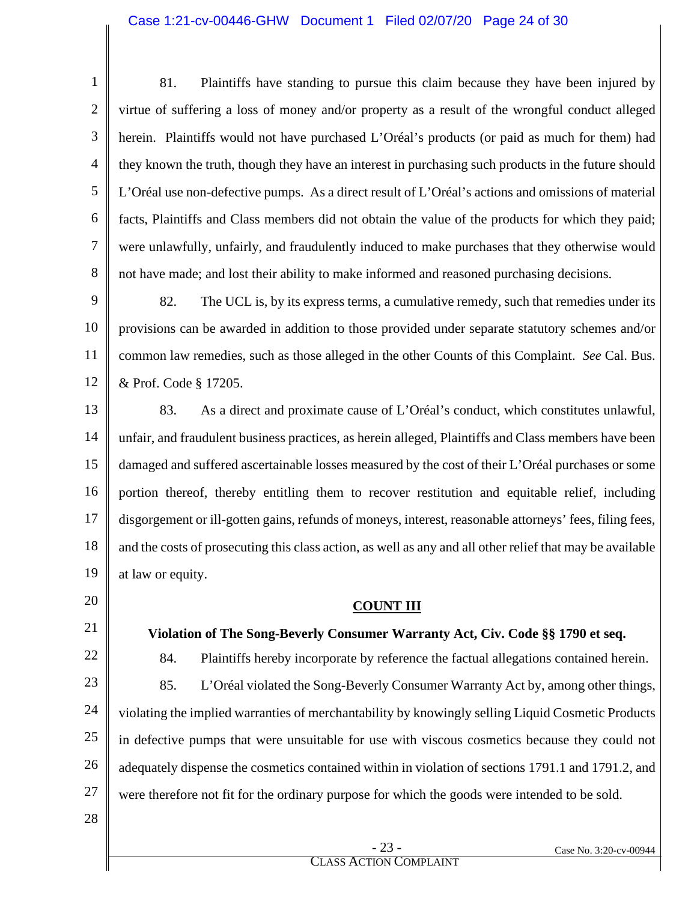#### Case 1:21-cv-00446-GHW Document 1 Filed 02/07/20 Page 24 of 30

1 2 3 4 5 6 7 8 81. Plaintiffs have standing to pursue this claim because they have been injured by virtue of suffering a loss of money and/or property as a result of the wrongful conduct alleged herein. Plaintiffs would not have purchased L'Oréal's products (or paid as much for them) had they known the truth, though they have an interest in purchasing such products in the future should L'Oréal use non-defective pumps. As a direct result of L'Oréal's actions and omissions of material facts, Plaintiffs and Class members did not obtain the value of the products for which they paid; were unlawfully, unfairly, and fraudulently induced to make purchases that they otherwise would not have made; and lost their ability to make informed and reasoned purchasing decisions.

9 10 11 12 82. The UCL is, by its express terms, a cumulative remedy, such that remedies under its provisions can be awarded in addition to those provided under separate statutory schemes and/or common law remedies, such as those alleged in the other Counts of this Complaint. *See* Cal. Bus. & Prof. Code § 17205.

13 14 15 16 17 18 19 83. As a direct and proximate cause of L'Oréal's conduct, which constitutes unlawful, unfair, and fraudulent business practices, as herein alleged, Plaintiffs and Class members have been damaged and suffered ascertainable losses measured by the cost of their L'Oréal purchases or some portion thereof, thereby entitling them to recover restitution and equitable relief, including disgorgement or ill-gotten gains, refunds of moneys, interest, reasonable attorneys' fees, filing fees, and the costs of prosecuting this class action, as well as any and all other relief that may be available at law or equity.

20

21

22

23

24 25

26

27

85. L'Oréal violated the Song-Beverly Consumer Warranty Act by, among other things, violating the implied warranties of merchantability by knowingly selling Liquid Cosmetic Products in defective pumps that were unsuitable for use with viscous cosmetics because they could not adequately dispense the cosmetics contained within in violation of sections 1791.1 and 1791.2, and were therefore not fit for the ordinary purpose for which the goods were intended to be sold.

**COUNT III**

**Violation of The Song-Beverly Consumer Warranty Act, Civ. Code §§ 1790 et seq.**

84. Plaintiffs hereby incorporate by reference the factual allegations contained herein.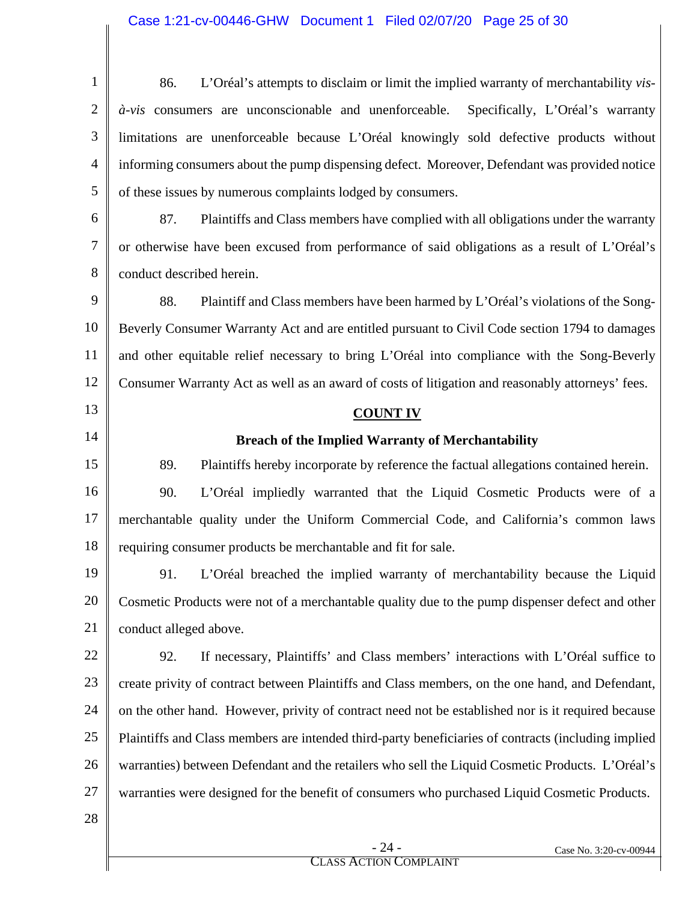1 2 3 4 5 86. L'Oréal's attempts to disclaim or limit the implied warranty of merchantability *visà-vis* consumers are unconscionable and unenforceable. Specifically, L'Oréal's warranty limitations are unenforceable because L'Oréal knowingly sold defective products without informing consumers about the pump dispensing defect. Moreover, Defendant was provided notice of these issues by numerous complaints lodged by consumers.

6 7 8 87. Plaintiffs and Class members have complied with all obligations under the warranty or otherwise have been excused from performance of said obligations as a result of L'Oréal's conduct described herein.

9 10 11 12 88. Plaintiff and Class members have been harmed by L'Oréal's violations of the Song-Beverly Consumer Warranty Act and are entitled pursuant to Civil Code section 1794 to damages and other equitable relief necessary to bring L'Oréal into compliance with the Song-Beverly Consumer Warranty Act as well as an award of costs of litigation and reasonably attorneys' fees.

#### **COUNT IV**

### **Breach of the Implied Warranty of Merchantability**

15 16 17 18 89. Plaintiffs hereby incorporate by reference the factual allegations contained herein. 90. L'Oréal impliedly warranted that the Liquid Cosmetic Products were of a merchantable quality under the Uniform Commercial Code, and California's common laws requiring consumer products be merchantable and fit for sale.

19 20 21 91. L'Oréal breached the implied warranty of merchantability because the Liquid Cosmetic Products were not of a merchantable quality due to the pump dispenser defect and other conduct alleged above.

22 23 24 25 26 27 92. If necessary, Plaintiffs' and Class members' interactions with L'Oréal suffice to create privity of contract between Plaintiffs and Class members, on the one hand, and Defendant, on the other hand. However, privity of contract need not be established nor is it required because Plaintiffs and Class members are intended third-party beneficiaries of contracts (including implied warranties) between Defendant and the retailers who sell the Liquid Cosmetic Products. L'Oréal's warranties were designed for the benefit of consumers who purchased Liquid Cosmetic Products.

28

13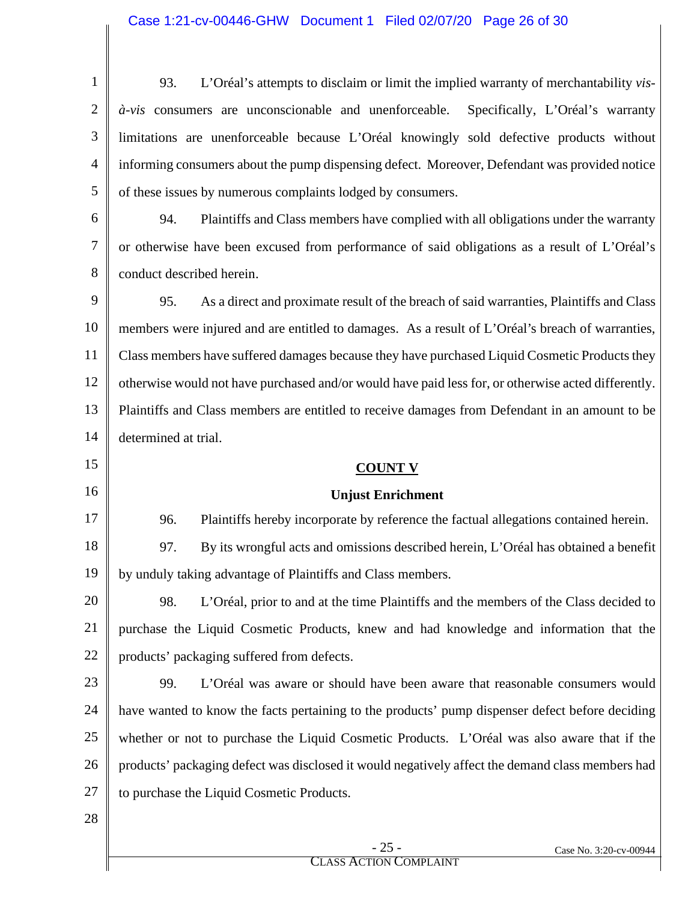| $\mathbf{1}$   | L'Oréal's attempts to disclaim or limit the implied warranty of merchantability vis-<br>93.   |
|----------------|-----------------------------------------------------------------------------------------------|
|                | à-vis consumers are unconscionable and unenforceable. Specifically, L'Oréal's warranty        |
| 3              | limitations are unenforceable because L'Oréal knowingly sold defective products without       |
| $\overline{4}$ | informing consumers about the pump dispensing defect. Moreover, Defendant was provided notice |
| 5              | of these issues by numerous complaints lodged by consumers.                                   |
| 6              | Plaintiffs and Class members have complied with all obligations under the warranty<br>94.     |
|                | or otherwise have been excused from performance of said obligations as a result of L'Oréal's  |
| 8              | conduct described herein.                                                                     |

9 10 11 12 13 14 95. As a direct and proximate result of the breach of said warranties, Plaintiffs and Class members were injured and are entitled to damages. As a result of L'Oréal's breach of warranties, Class members have suffered damages because they have purchased Liquid Cosmetic Products they otherwise would not have purchased and/or would have paid less for, or otherwise acted differently. Plaintiffs and Class members are entitled to receive damages from Defendant in an amount to be determined at trial.

#### **COUNT V**

#### **Unjust Enrichment**

17 18 19 96. Plaintiffs hereby incorporate by reference the factual allegations contained herein. 97. By its wrongful acts and omissions described herein, L'Oréal has obtained a benefit by unduly taking advantage of Plaintiffs and Class members.

20 21 22 98. L'Oréal, prior to and at the time Plaintiffs and the members of the Class decided to purchase the Liquid Cosmetic Products, knew and had knowledge and information that the products' packaging suffered from defects.

23 24 25 26 27 99. L'Oréal was aware or should have been aware that reasonable consumers would have wanted to know the facts pertaining to the products' pump dispenser defect before deciding whether or not to purchase the Liquid Cosmetic Products. L'Oréal was also aware that if the products' packaging defect was disclosed it would negatively affect the demand class members had to purchase the Liquid Cosmetic Products.

28

15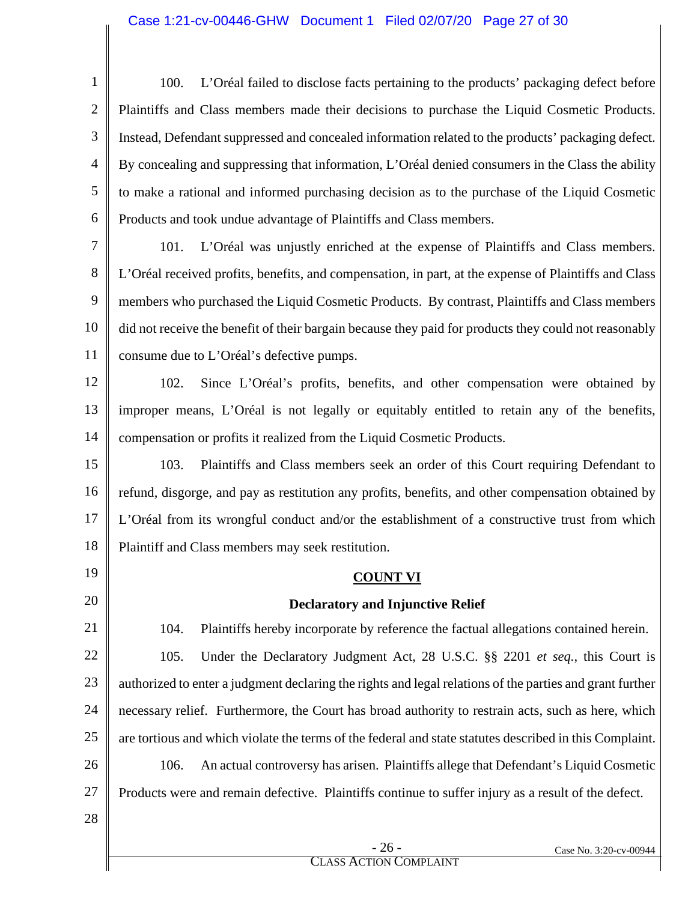## Case 1:21-cv-00446-GHW Document 1 Filed 02/07/20 Page 27 of 30

| $\mathbf{1}$   | L'Oréal failed to disclose facts pertaining to the products' packaging defect before<br>100.             |
|----------------|----------------------------------------------------------------------------------------------------------|
| $\overline{2}$ | Plaintiffs and Class members made their decisions to purchase the Liquid Cosmetic Products.              |
| 3              | Instead, Defendant suppressed and concealed information related to the products' packaging defect.       |
| 4              | By concealing and suppressing that information, L'Oréal denied consumers in the Class the ability        |
| 5              | to make a rational and informed purchasing decision as to the purchase of the Liquid Cosmetic            |
| 6              | Products and took undue advantage of Plaintiffs and Class members.                                       |
| 7              | L'Oréal was unjustly enriched at the expense of Plaintiffs and Class members.<br>101.                    |
| 8              | L'Oréal received profits, benefits, and compensation, in part, at the expense of Plaintiffs and Class    |
| 9              | members who purchased the Liquid Cosmetic Products. By contrast, Plaintiffs and Class members            |
| 10             | did not receive the benefit of their bargain because they paid for products they could not reasonably    |
| 11             | consume due to L'Oréal's defective pumps.                                                                |
| 12             | Since L'Oréal's profits, benefits, and other compensation were obtained by<br>102.                       |
| 13             | improper means, L'Oréal is not legally or equitably entitled to retain any of the benefits,              |
| 14             | compensation or profits it realized from the Liquid Cosmetic Products.                                   |
| 15             | Plaintiffs and Class members seek an order of this Court requiring Defendant to<br>103.                  |
| 16             | refund, disgorge, and pay as restitution any profits, benefits, and other compensation obtained by       |
| 17             | L'Oréal from its wrongful conduct and/or the establishment of a constructive trust from which            |
| 18             | Plaintiff and Class members may seek restitution.                                                        |
| 19             | <b>COUNT VI</b>                                                                                          |
| 20             | <b>Declaratory and Injunctive Relief</b>                                                                 |
| 21             | Plaintiffs hereby incorporate by reference the factual allegations contained herein.<br>104.             |
| 22             | Under the Declaratory Judgment Act, 28 U.S.C. §§ 2201 et seq., this Court is<br>105.                     |
| 23             | authorized to enter a judgment declaring the rights and legal relations of the parties and grant further |
| 24             | necessary relief. Furthermore, the Court has broad authority to restrain acts, such as here, which       |
| 25             | are tortious and which violate the terms of the federal and state statutes described in this Complaint.  |
| 26             | 106.<br>An actual controversy has arisen. Plaintiffs allege that Defendant's Liquid Cosmetic             |
| 27             | Products were and remain defective. Plaintiffs continue to suffer injury as a result of the defect.      |
| 28             |                                                                                                          |
|                | $-26-$<br>Case No. 3:20-cv-00944                                                                         |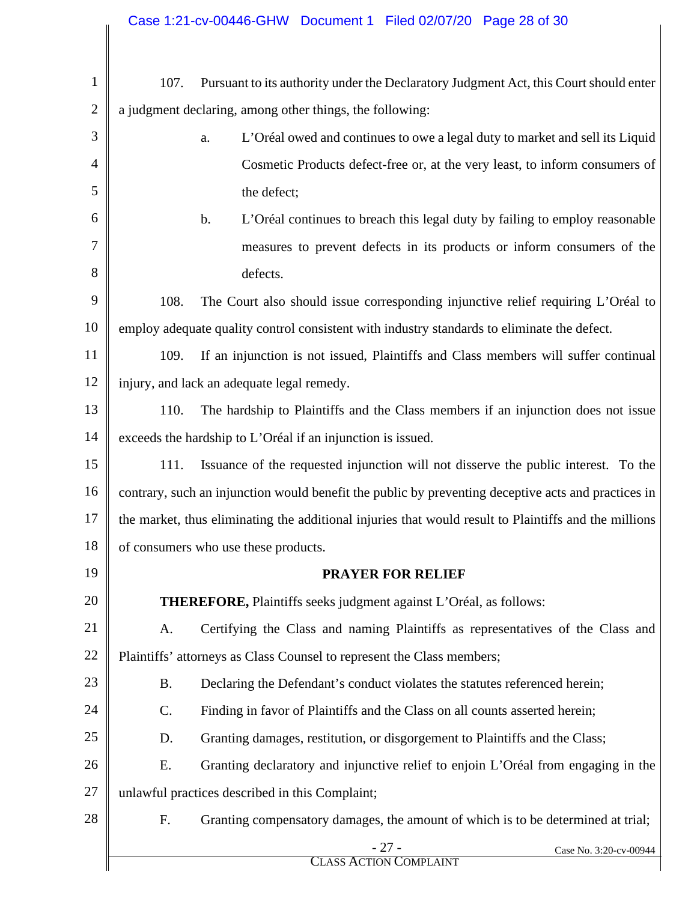| 1              | 107.                                                                                                  | Pursuant to its authority under the Declaratory Judgment Act, this Court should enter |  |  |  |  |
|----------------|-------------------------------------------------------------------------------------------------------|---------------------------------------------------------------------------------------|--|--|--|--|
| $\overline{2}$ | a judgment declaring, among other things, the following:                                              |                                                                                       |  |  |  |  |
| 3              |                                                                                                       | L'Oréal owed and continues to owe a legal duty to market and sell its Liquid<br>a.    |  |  |  |  |
| $\overline{4}$ |                                                                                                       | Cosmetic Products defect-free or, at the very least, to inform consumers of           |  |  |  |  |
| 5              |                                                                                                       | the defect;                                                                           |  |  |  |  |
| 6              |                                                                                                       | b.<br>L'Oréal continues to breach this legal duty by failing to employ reasonable     |  |  |  |  |
| 7              |                                                                                                       | measures to prevent defects in its products or inform consumers of the                |  |  |  |  |
| 8              |                                                                                                       | defects.                                                                              |  |  |  |  |
| 9              | 108.                                                                                                  | The Court also should issue corresponding injunctive relief requiring L'Oréal to      |  |  |  |  |
| 10             | employ adequate quality control consistent with industry standards to eliminate the defect.           |                                                                                       |  |  |  |  |
| 11             | If an injunction is not issued, Plaintiffs and Class members will suffer continual<br>109.            |                                                                                       |  |  |  |  |
| 12             | injury, and lack an adequate legal remedy.                                                            |                                                                                       |  |  |  |  |
| 13             | 110.<br>The hardship to Plaintiffs and the Class members if an injunction does not issue              |                                                                                       |  |  |  |  |
| 14             | exceeds the hardship to L'Oréal if an injunction is issued.                                           |                                                                                       |  |  |  |  |
| 15             | Issuance of the requested injunction will not disserve the public interest. To the<br>111.            |                                                                                       |  |  |  |  |
| 16             | contrary, such an injunction would benefit the public by preventing deceptive acts and practices in   |                                                                                       |  |  |  |  |
| 17             | the market, thus eliminating the additional injuries that would result to Plaintiffs and the millions |                                                                                       |  |  |  |  |
| 18             | of consumers who use these products.                                                                  |                                                                                       |  |  |  |  |
| 19             | <b>PRAYER FOR RELIEF</b>                                                                              |                                                                                       |  |  |  |  |
| 20             |                                                                                                       | <b>THEREFORE, Plaintiffs seeks judgment against L'Oréal, as follows:</b>              |  |  |  |  |
| 21             | A.                                                                                                    | Certifying the Class and naming Plaintiffs as representatives of the Class and        |  |  |  |  |
| 22             | Plaintiffs' attorneys as Class Counsel to represent the Class members;                                |                                                                                       |  |  |  |  |
| 23             | <b>B.</b>                                                                                             | Declaring the Defendant's conduct violates the statutes referenced herein;            |  |  |  |  |
| 24             | Finding in favor of Plaintiffs and the Class on all counts asserted herein;<br>$\mathcal{C}$ .        |                                                                                       |  |  |  |  |
| 25             | Granting damages, restitution, or disgorgement to Plaintiffs and the Class;<br>D.                     |                                                                                       |  |  |  |  |
| 26             | E.                                                                                                    | Granting declaratory and injunctive relief to enjoin L'Oréal from engaging in the     |  |  |  |  |
| 27             |                                                                                                       | unlawful practices described in this Complaint;                                       |  |  |  |  |
| 28             | F.                                                                                                    | Granting compensatory damages, the amount of which is to be determined at trial;      |  |  |  |  |
|                |                                                                                                       | $-27-$<br>Case No. 3:20-cv-00944<br><b>CLASS ACTION COMPLAINT</b>                     |  |  |  |  |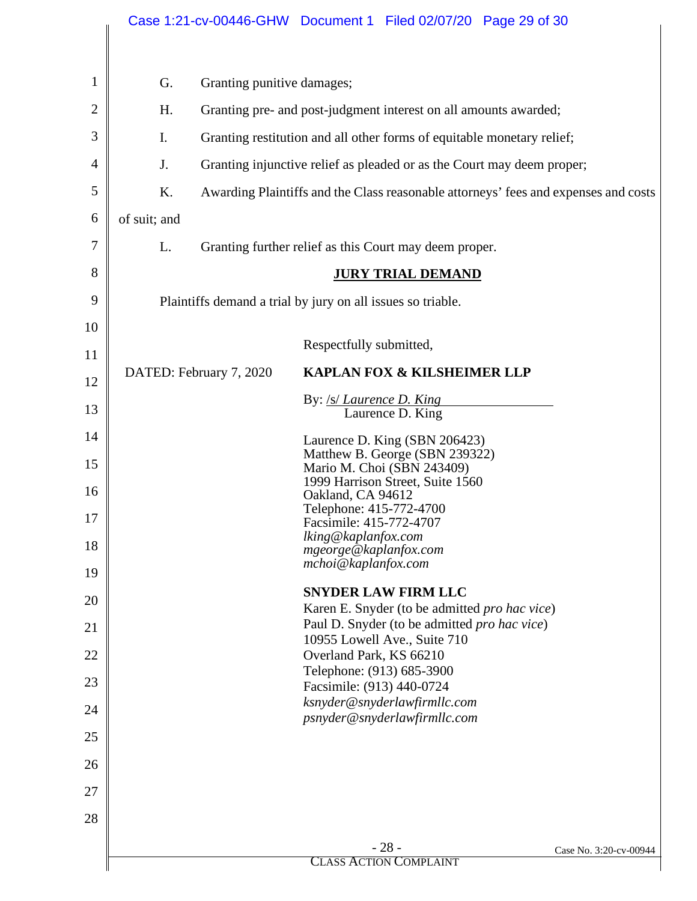|    |                                                                                           |                         | Case 1:21-cv-00446-GHW Document 1 Filed 02/07/20 Page 29 of 30                      |                        |  |  |
|----|-------------------------------------------------------------------------------------------|-------------------------|-------------------------------------------------------------------------------------|------------------------|--|--|
|    |                                                                                           |                         |                                                                                     |                        |  |  |
| 1  | G.<br>Granting punitive damages;                                                          |                         |                                                                                     |                        |  |  |
| 2  | H.<br>Granting pre- and post-judgment interest on all amounts awarded;                    |                         |                                                                                     |                        |  |  |
| 3  | I.<br>Granting restitution and all other forms of equitable monetary relief;              |                         |                                                                                     |                        |  |  |
| 4  | J.<br>Granting injunctive relief as pleaded or as the Court may deem proper;              |                         |                                                                                     |                        |  |  |
| 5  | K.<br>Awarding Plaintiffs and the Class reasonable attorneys' fees and expenses and costs |                         |                                                                                     |                        |  |  |
| 6  | of suit; and                                                                              |                         |                                                                                     |                        |  |  |
| 7  | L.                                                                                        |                         | Granting further relief as this Court may deem proper.                              |                        |  |  |
| 8  |                                                                                           |                         | <b>JURY TRIAL DEMAND</b>                                                            |                        |  |  |
| 9  |                                                                                           |                         | Plaintiffs demand a trial by jury on all issues so triable.                         |                        |  |  |
| 10 |                                                                                           |                         | Respectfully submitted,                                                             |                        |  |  |
| 11 |                                                                                           | DATED: February 7, 2020 | <b>KAPLAN FOX &amp; KILSHEIMER LLP</b>                                              |                        |  |  |
| 12 |                                                                                           |                         |                                                                                     |                        |  |  |
| 13 |                                                                                           |                         | By: <u>/s/ <i>Laurence D. King</i></u><br>Laurence D. King                          |                        |  |  |
| 14 |                                                                                           |                         | Laurence D. King (SBN 206423)                                                       |                        |  |  |
| 15 |                                                                                           |                         | Matthew B. George (SBN 239322)<br>Mario M. Choi (SBN 243409)                        |                        |  |  |
| 16 |                                                                                           |                         | 1999 Harrison Street, Suite 1560<br>Oakland, CA 94612                               |                        |  |  |
| 17 |                                                                                           |                         | Telephone: 415-772-4700<br>Facsimile: 415-772-4707                                  |                        |  |  |
| 18 |                                                                                           |                         | lking@kaplanfox.com<br>mgeorge@kaplanfox.com                                        |                        |  |  |
| 19 |                                                                                           |                         | mchoi@kaplanfox.com                                                                 |                        |  |  |
| 20 |                                                                                           |                         | <b>SNYDER LAW FIRM LLC</b><br>Karen E. Snyder (to be admitted <i>pro hac vice</i> ) |                        |  |  |
| 21 |                                                                                           |                         | Paul D. Snyder (to be admitted pro hac vice)<br>10955 Lowell Ave., Suite 710        |                        |  |  |
| 22 |                                                                                           |                         | Overland Park, KS 66210                                                             |                        |  |  |
| 23 |                                                                                           |                         | Telephone: (913) 685-3900<br>Facsimile: (913) 440-0724                              |                        |  |  |
| 24 |                                                                                           |                         | ksnyder@snyderlawfirmllc.com<br>psnyder@snyderlawfirmllc.com                        |                        |  |  |
| 25 |                                                                                           |                         |                                                                                     |                        |  |  |
| 26 |                                                                                           |                         |                                                                                     |                        |  |  |
| 27 |                                                                                           |                         |                                                                                     |                        |  |  |
| 28 |                                                                                           |                         |                                                                                     |                        |  |  |
|    |                                                                                           |                         | $-28-$                                                                              | Case No. 3:20-cv-00944 |  |  |
|    |                                                                                           |                         | <b>CLASS ACTION COMPLAINT</b>                                                       |                        |  |  |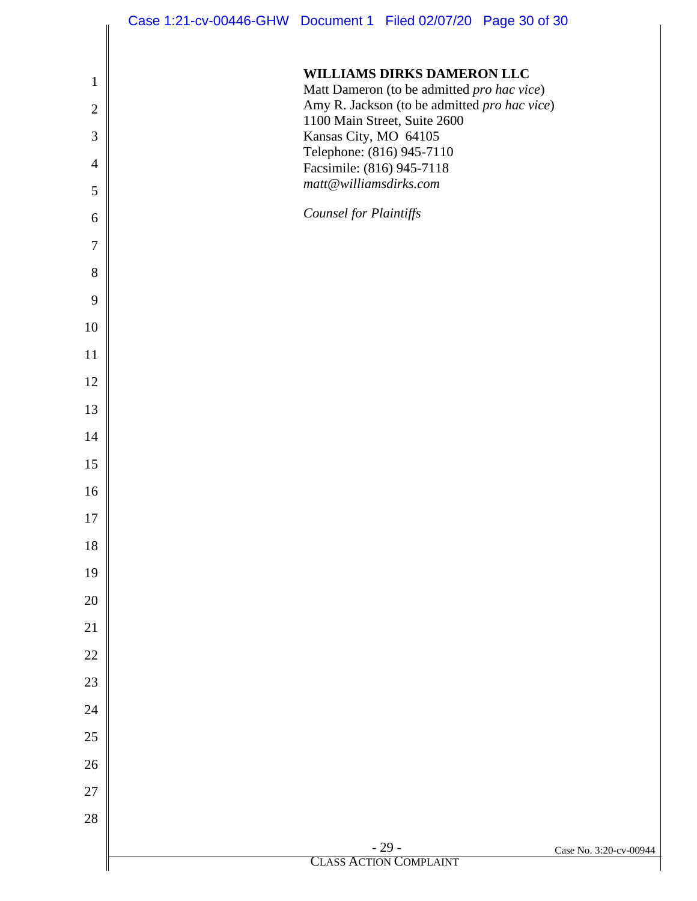